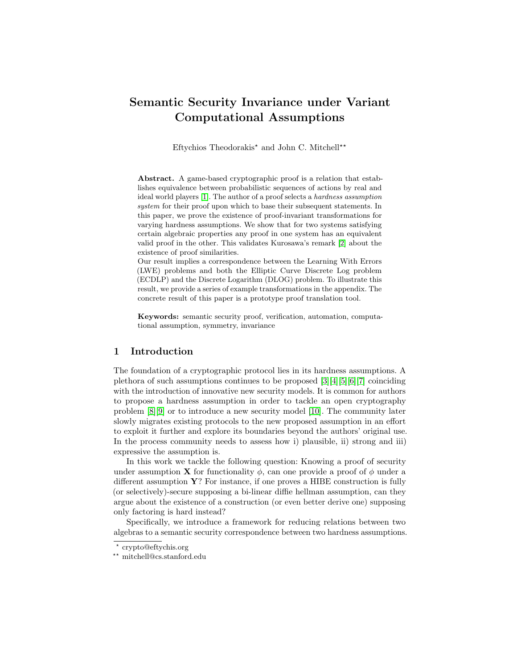# Semantic Security Invariance under Variant Computational Assumptions

Eftychios Theodorakis<sup>\*</sup> and John C. Mitchell<sup>\*\*</sup>

Abstract. A game-based cryptographic proof is a relation that establishes equivalence between probabilistic sequences of actions by real and ideal world players [\[1\]](#page-26-0). The author of a proof selects a hardness assumption system for their proof upon which to base their subsequent statements. In this paper, we prove the existence of proof-invariant transformations for varying hardness assumptions. We show that for two systems satisfying certain algebraic properties any proof in one system has an equivalent valid proof in the other. This validates Kurosawa's remark [\[2\]](#page-26-1) about the existence of proof similarities.

Our result implies a correspondence between the Learning With Errors (LWE) problems and both the Elliptic Curve Discrete Log problem (ECDLP) and the Discrete Logarithm (DLOG) problem. To illustrate this result, we provide a series of example transformations in the appendix. The concrete result of this paper is a prototype proof translation tool.

Keywords: semantic security proof, verification, automation, computational assumption, symmetry, invariance

# 1 Introduction

The foundation of a cryptographic protocol lies in its hardness assumptions. A plethora of such assumptions continues to be proposed [\[3\]](#page-27-0)[\[4\]](#page-27-1)[\[5\]](#page-27-2)[\[6\]](#page-27-3)[\[7\]](#page-27-4) coinciding with the introduction of innovative new security models. It is common for authors to propose a hardness assumption in order to tackle an open cryptography problem [\[8\]](#page-27-5)[\[9\]](#page-27-6) or to introduce a new security model [\[10\]](#page-27-7). The community later slowly migrates existing protocols to the new proposed assumption in an effort to exploit it further and explore its boundaries beyond the authors' original use. In the process community needs to assess how i) plausible, ii) strong and iii) expressive the assumption is.

In this work we tackle the following question: Knowing a proof of security under assumption **X** for functionality  $\phi$ , can one provide a proof of  $\phi$  under a different assumption  $\mathbf{Y}$ ? For instance, if one proves a HIBE construction is fully (or selectively)-secure supposing a bi-linear diffie hellman assumption, can they argue about the existence of a construction (or even better derive one) supposing only factoring is hard instead?

Specifically, we introduce a framework for reducing relations between two algebras to a semantic security correspondence between two hardness assumptions.

<sup>?</sup> crypto@eftychis.org

<sup>??</sup> mitchell@cs.stanford.edu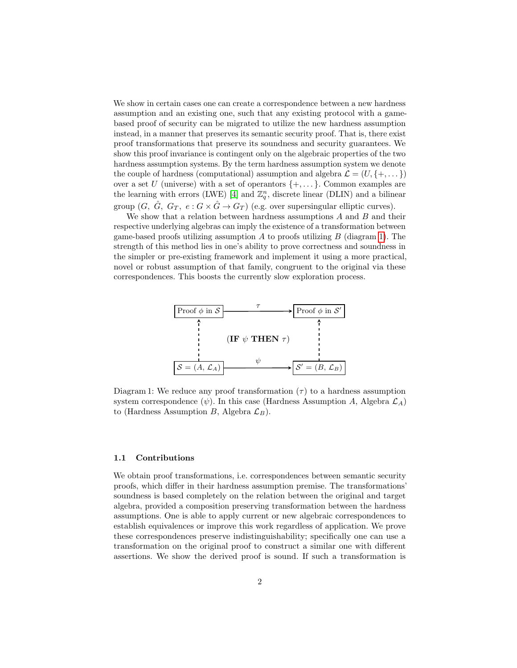We show in certain cases one can create a correspondence between a new hardness assumption and an existing one, such that any existing protocol with a gamebased proof of security can be migrated to utilize the new hardness assumption instead, in a manner that preserves its semantic security proof. That is, there exist proof transformations that preserve its soundness and security guarantees. We show this proof invariance is contingent only on the algebraic properties of the two hardness assumption systems. By the term hardness assumption system we denote the couple of hardness (computational) assumption and algebra  $\mathcal{L} = (U, \{+, \dots\})$ over a set U (universe) with a set of operantors  $\{+, \dots\}$ . Common examples are the learning with errors (LWE) [\[4\]](#page-27-1) and  $\mathbb{Z}_q^n$ , discrete linear (DLIN) and a bilinear group  $(G, \hat{G}, G_T, e: G \times \hat{G} \rightarrow G_T)$  (e.g. over supersingular elliptic curves).

We show that a relation between hardness assumptions  $A$  and  $B$  and their respective underlying algebras can imply the existence of a transformation between game-based proofs utilizing assumption  $A$  to proofs utilizing  $B$  (diagram [1\)](#page-1-0). The strength of this method lies in one's ability to prove correctness and soundness in the simpler or pre-existing framework and implement it using a more practical, novel or robust assumption of that family, congruent to the original via these correspondences. This boosts the currently slow exploration process.

<span id="page-1-0"></span>

Diagram 1: We reduce any proof transformation  $(\tau)$  to a hardness assumption system correspondence  $(\psi)$ . In this case (Hardness Assumption A, Algebra  $\mathcal{L}_A$ ) to (Hardness Assumption B, Algebra  $\mathcal{L}_B$ ).

#### 1.1 Contributions

We obtain proof transformations, i.e. correspondences between semantic security proofs, which differ in their hardness assumption premise. The transformations' soundness is based completely on the relation between the original and target algebra, provided a composition preserving transformation between the hardness assumptions. One is able to apply current or new algebraic correspondences to establish equivalences or improve this work regardless of application. We prove these correspondences preserve indistinguishability; specifically one can use a transformation on the original proof to construct a similar one with different assertions. We show the derived proof is sound. If such a transformation is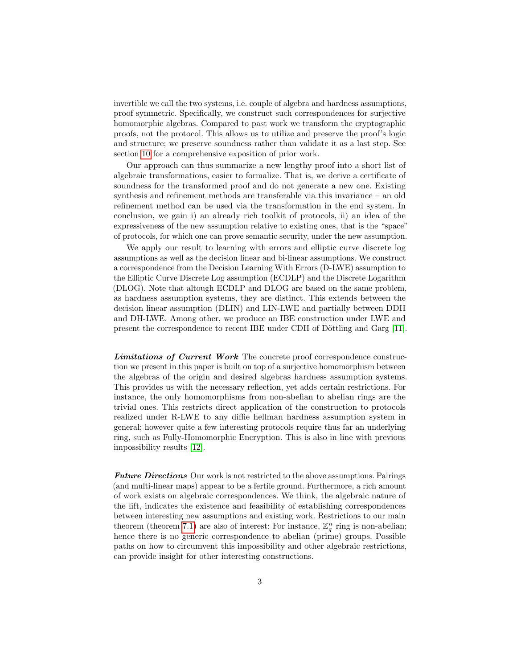invertible we call the two systems, i.e. couple of algebra and hardness assumptions, proof symmetric. Specifically, we construct such correspondences for surjective homomorphic algebras. Compared to past work we transform the cryptographic proofs, not the protocol. This allows us to utilize and preserve the proof's logic and structure; we preserve soundness rather than validate it as a last step. See section [10](#page-25-0) for a comprehensive exposition of prior work.

Our approach can thus summarize a new lengthy proof into a short list of algebraic transformations, easier to formalize. That is, we derive a certificate of soundness for the transformed proof and do not generate a new one. Existing synthesis and refinement methods are transferable via this invariance – an old refinement method can be used via the transformation in the end system. In conclusion, we gain i) an already rich toolkit of protocols, ii) an idea of the expressiveness of the new assumption relative to existing ones, that is the "space" of protocols, for which one can prove semantic security, under the new assumption.

We apply our result to learning with errors and elliptic curve discrete log assumptions as well as the decision linear and bi-linear assumptions. We construct a correspondence from the Decision Learning With Errors (D-LWE) assumption to the Elliptic Curve Discrete Log assumption (ECDLP) and the Discrete Logarithm (DLOG). Note that altough ECDLP and DLOG are based on the same problem, as hardness assumption systems, they are distinct. This extends between the decision linear assumption (DLIN) and LIN-LWE and partially between DDH and DH-LWE. Among other, we produce an IBE construction under LWE and present the correspondence to recent IBE under CDH of Döttling and Garg [\[11\]](#page-27-8).

Limitations of Current Work The concrete proof correspondence construction we present in this paper is built on top of a surjective homomorphism between the algebras of the origin and desired algebras hardness assumption systems. This provides us with the necessary reflection, yet adds certain restrictions. For instance, the only homomorphisms from non-abelian to abelian rings are the trivial ones. This restricts direct application of the construction to protocols realized under R-LWE to any diffie hellman hardness assumption system in general; however quite a few interesting protocols require thus far an underlying ring, such as Fully-Homomorphic Encryption. This is also in line with previous impossibility results [\[12\]](#page-27-9).

**Future Directions** Our work is not restricted to the above assumptions. Pairings (and multi-linear maps) appear to be a fertile ground. Furthermore, a rich amount of work exists on algebraic correspondences. We think, the algebraic nature of the lift, indicates the existence and feasibility of establishing correspondences between interesting new assumptions and existing work. Restrictions to our main theorem (theorem [7.1\)](#page-20-0) are also of interest: For instance,  $\mathbb{Z}_q^n$  ring is non-abelian; hence there is no generic correspondence to abelian (prime) groups. Possible paths on how to circumvent this impossibility and other algebraic restrictions, can provide insight for other interesting constructions.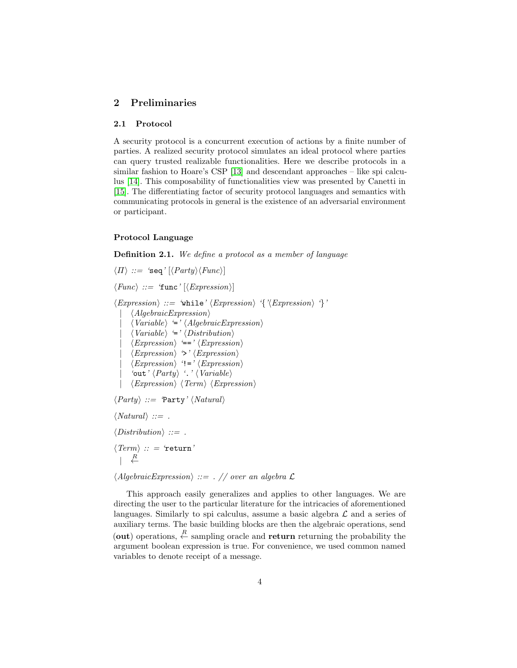# 2 Preliminaries

## 2.1 Protocol

A security protocol is a concurrent execution of actions by a finite number of parties. A realized security protocol simulates an ideal protocol where parties can query trusted realizable functionalities. Here we describe protocols in a similar fashion to Hoare's CSP [\[13\]](#page-27-10) and descendant approaches – like spi calculus [\[14\]](#page-27-11). This composability of functionalities view was presented by Canetti in [\[15\]](#page-27-12). The differentiating factor of security protocol languages and semantics with communicating protocols in general is the existence of an adversarial environment or participant.

## Protocol Language

Definition 2.1. We define a protocol as a member of language

 $\langle \Pi \rangle ::= \text{ 'seq'} [\langle Party \rangle \langle Fun \rangle]$  $\langle Func \rangle ::= 'func' [\langle Expression \rangle]$  $\langle Expression \rangle ::= \text{ 'while'} \langle Expression \rangle \text{ '{}' (Expression } \rangle \text{ '{}'}.$  $\langle AlgebraicExpression \rangle$  $\langle Variable \rangle =' \langle AlgebraicExpression \rangle$  $\langle Variable \rangle \cong \langle Distribution \rangle$  $\langle Expression \rangle \equiv' \langle Expression \rangle$  $\langle Expression \rangle \rightarrow \langle Expression \rangle$  $\langle Expression \rangle$  '!='  $\langle Expression \rangle$ 'out'  $\langle Party \rangle$  '.'  $\langle Variable \rangle$  $\langle Expression \rangle$   $\langle Term \rangle$   $\langle Expression \rangle$  $\langle Party \rangle ::= \text{Party'} \langle Natural \rangle$  $\langle Natural \rangle ::=$ .  $\langle Distribution \rangle ::=$ .  $\langle Term \rangle :: = 'return'$  $\begin{array}{ccc} & & R \\ & & \leftarrow & \end{array}$ 

 $\langle AlgebraicExpression \rangle ::= .$  // over an algebra  $\mathcal L$ 

This approach easily generalizes and applies to other languages. We are directing the user to the particular literature for the intricacies of aforementioned languages. Similarly to spi calculus, assume a basic algebra  $\mathcal L$  and a series of auxiliary terms. The basic building blocks are then the algebraic operations, send (out) operations,  $\stackrel{R}{\leftarrow}$  sampling oracle and return returning the probability the argument boolean expression is true. For convenience, we used common named variables to denote receipt of a message.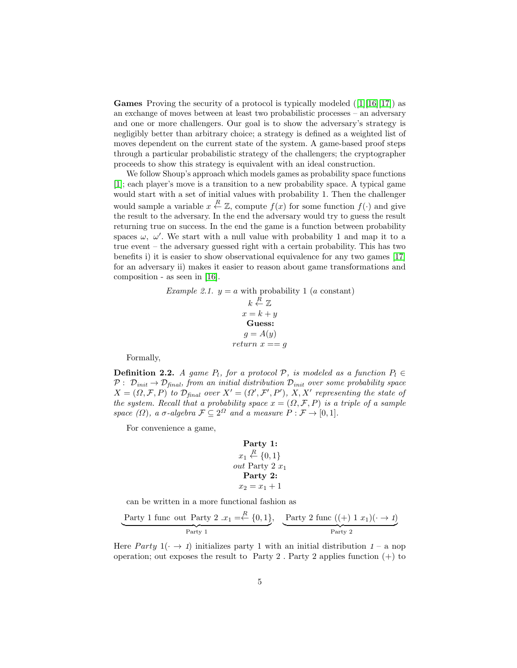**Games** Proving the security of a protocol is typically modeled  $(1|16|17)$  as an exchange of moves between at least two probabilistic processes – an adversary and one or more challengers. Our goal is to show the adversary's strategy is negligibly better than arbitrary choice; a strategy is defined as a weighted list of moves dependent on the current state of the system. A game-based proof steps through a particular probabilistic strategy of the challengers; the cryptographer proceeds to show this strategy is equivalent with an ideal construction.

We follow Shoup's approach which models games as probability space functions [\[1\]](#page-26-0); each player's move is a transition to a new probability space. A typical game would start with a set of initial values with probability 1. Then the challenger would sample a variable  $x \stackrel{R}{\leftarrow} \mathbb{Z}$ , compute  $f(x)$  for some function  $f(\cdot)$  and give the result to the adversary. In the end the adversary would try to guess the result returning true on success. In the end the game is a function between probability spaces  $\omega$ ,  $\omega'$ . We start with a null value with probability 1 and map it to a true event – the adversary guessed right with a certain probability. This has two benefits i) it is easier to show observational equivalence for any two games [\[17\]](#page-27-14) for an adversary ii) makes it easier to reason about game transformations and composition - as seen in [\[16\]](#page-27-13).

> Example 2.1.  $y = a$  with probability 1 (a constant)  $k \stackrel{R}{\leftarrow} \mathbb{Z}$  $x = k + y$ Guess:  $g = A(y)$ return  $x == g$

Formally,

**Definition 2.2.** A game  $P_l$ , for a protocol  $P$ , is modeled as a function  $P_l \in$  $P: \mathcal{D}_{init} \rightarrow \mathcal{D}_{final}$ , from an initial distribution  $\mathcal{D}_{init}$  over some probability space  $X = (\Omega, \mathcal{F}, P)$  to  $\mathcal{D}_{\text{final}}$  over  $X' = (\Omega', \mathcal{F}', P')$ ,  $X, X'$  representing the state of the system. Recall that a probability space  $x = (\Omega, \mathcal{F}, P)$  is a triple of a sample space  $(\Omega)$ , a  $\sigma$ -algebra  $\mathcal{F} \subseteq 2^{\Omega}$  and a measure  $P : \mathcal{F} \to [0,1]$ .

For convenience a game,

**Party 1:**  

$$
x_1 \stackrel{R}{\leftarrow} \{0,1\}
$$
  
out Party 2  $x_1$   
**Party 2:**  

$$
x_2 = x_1 + 1
$$

can be written in a more functional fashion as

$$
\underbrace{\text{Party 1 func out Party 2 } .x_1 = \xleftarrow{R} \{0, 1\}}, \underbrace{\text{Party 2 func ((+) 1 } x_1)(\cdot \to 1)}_{\text{Party 2}}
$$

Here *Party*  $1(\cdot \rightarrow 1)$  initializes party 1 with an initial distribution  $1 - a$  nop operation; out exposes the result to Party 2. Party 2 applies function  $(+)$  to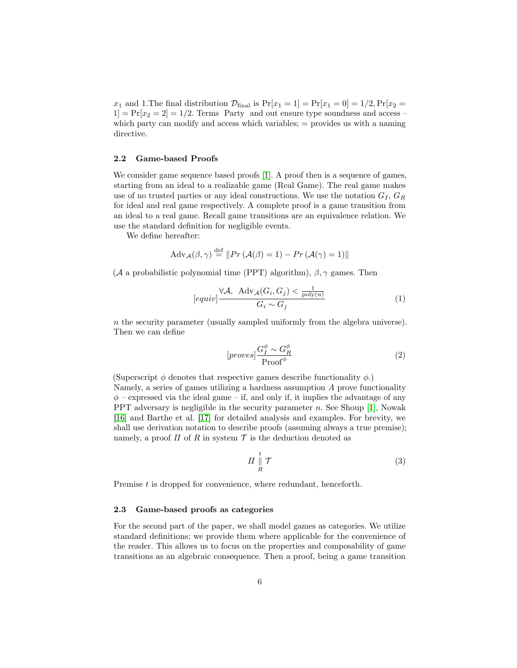$x_1$  and 1. The final distribution  $\mathcal{D}_{\text{final}}$  is  $Pr[x_1 = 1] = Pr[x_1 = 0] = 1/2, Pr[x_2 =$  $1$  = Pr[ $x_2 = 2$ ] = 1/2. Terms Party and out ensure type soundness and access – which party can modify and access which variables;  $=$  provides us with a naming directive.

#### 2.2 Game-based Proofs

We consider game sequence based proofs [\[1\]](#page-26-0). A proof then is a sequence of games, starting from an ideal to a realizable game (Real Game). The real game makes use of no trusted parties or any ideal constructions. We use the notation  $G_I, G_R$ for ideal and real game respectively. A complete proof is a game transition from an ideal to a real game. Recall game transitions are an equivalence relation. We use the standard definition for negligible events.

We define hereafter:

$$
Adv_{\mathcal{A}}(\beta, \gamma) \stackrel{\text{def}}{=} ||Pr(\mathcal{A}(\beta) = 1) - Pr(\mathcal{A}(\gamma) = 1)||
$$

(A a probabilistic polynomial time (PPT) algorithm),  $\beta$ ,  $\gamma$  games. Then

$$
[equiv] \frac{\forall \mathcal{A}, \text{ Adv}_{\mathcal{A}}(G_i, G_j) < \frac{1}{\text{poly}(n)}}{G_i \sim G_j} \tag{1}
$$

 $n$  the security parameter (usually sampled uniformly from the algebra universe). Then we can define

$$
[proves] \frac{G_I^{\phi} \sim G_R^{\phi}}{\text{Proof}^{\phi}}
$$
 (2)

(Superscript  $\phi$  denotes that respective games describe functionality  $\phi$ .) Namely, a series of games utilizing a hardness assumption  $A$  prove functionality  $\phi$  – expressed via the ideal game – if, and only if, it implies the advantage of any PPT adversary is negligible in the security parameter  $n$ . See Shoup [\[1\]](#page-26-0), Nowak [\[16\]](#page-27-13) and Barthe et al. [\[17\]](#page-27-14) for detailed analysis and examples. For brevity, we shall use derivation notation to describe proofs (assuming always a true premise); namely, a proof  $\Pi$  of R in system  $\mathcal T$  is the deduction denoted as

$$
\Pi \parallel R \atop R \tag{3}
$$

Premise t is dropped for convenience, where redundant, henceforth.

#### 2.3 Game-based proofs as categories

For the second part of the paper, we shall model games as categories. We utilize standard definitions; we provide them where applicable for the convenience of the reader. This allows us to focus on the properties and composability of game transitions as an algebraic consequence. Then a proof, being a game transition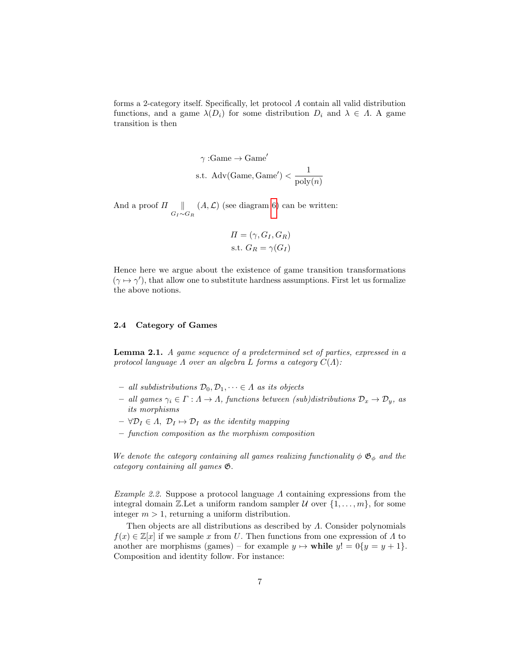forms a 2-category itself. Specifically, let protocol Λ contain all valid distribution functions, and a game  $\lambda(D_i)$  for some distribution  $D_i$  and  $\lambda \in \Lambda$ . A game transition is then

$$
\gamma : \text{Game} \to \text{Game}'
$$
s.t. Adv(Game, Game') 
$$
\frac{1}{\text{poly}(n)}
$$

And a proof  $\Pi$  ||  $G_I \sim G_R$  $(A, \mathcal{L})$  (see diagram [6\)](#page-19-0) can be written:

$$
\Pi = (\gamma, G_I, G_R)
$$
  
s.t.  $G_R = \gamma(G_I)$ 

Hence here we argue about the existence of game transition transformations  $(\gamma \mapsto \gamma')$ , that allow one to substitute hardness assumptions. First let us formalize the above notions.

### 2.4 Category of Games

Lemma 2.1. A game sequence of a predetermined set of parties, expressed in a protocol language  $\Lambda$  over an algebra  $L$  forms a category  $C(\Lambda)$ :

- all subdistributions  $\mathcal{D}_0, \mathcal{D}_1, \dots \in \Lambda$  as its objects
- $−$  all games  $γ_i ∈ Γ : Λ → Λ$ , functions between (sub)distributions  $D_x → D_y$ , as its morphisms
- $-\forall \mathcal{D}_I \in \Lambda$ ,  $\mathcal{D}_I \mapsto \mathcal{D}_I$  as the identity mapping
- function composition as the morphism composition

We denote the category containing all games realizing functionality  $\phi \mathfrak{G}_{\phi}$  and the category containing all games G.

Example 2.2. Suppose a protocol language  $\Lambda$  containing expressions from the integral domain Z.Let a uniform random sampler U over  $\{1, \ldots, m\}$ , for some integer  $m > 1$ , returning a uniform distribution.

Then objects are all distributions as described by  $\Lambda$ . Consider polynomials  $f(x) \in \mathbb{Z}[x]$  if we sample x from U. Then functions from one expression of  $\Lambda$  to another are morphisms (games) – for example  $y \mapsto$  while  $y! = 0\{y = y + 1\}.$ Composition and identity follow. For instance: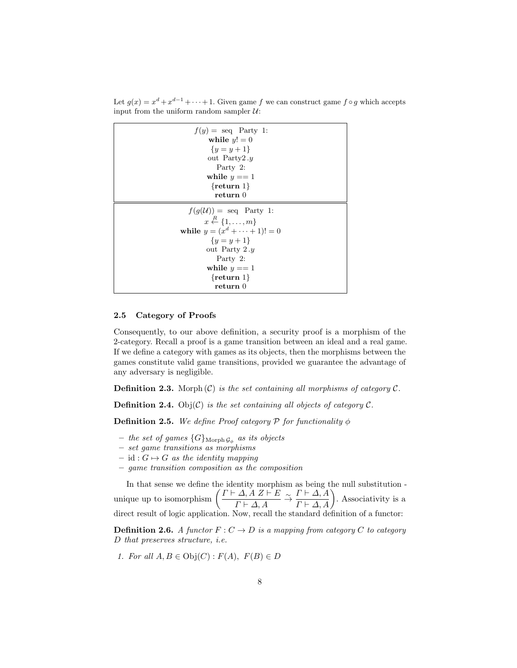Let  $g(x) = x^d + x^{d-1} + \cdots + 1$ . Given game f we can construct game  $f \circ g$  which accepts input from the uniform random sampler  $\mathcal{U}$ :

| $f(y) = \text{seq}$ Party 1:                  |  |
|-----------------------------------------------|--|
| while $y! = 0$                                |  |
| $\{y = y + 1\}$                               |  |
| out Party2. $y$                               |  |
| Party 2:                                      |  |
| while $y == 1$                                |  |
| $\{$ return 1}                                |  |
| return 0                                      |  |
| $f(q(\mathcal{U})) = \text{seq}$ Party 1:     |  |
| $x \stackrel{R}{\leftarrow} \{1, \ldots, m\}$ |  |
| while $y = (x^d + \cdots + 1)! = 0$           |  |
| $\{y = y + 1\}$                               |  |
| out Party $2.y$                               |  |
| Party 2:                                      |  |
| while $y == 1$                                |  |
| $\{$ return 1}                                |  |
| return 0                                      |  |

#### 2.5 Category of Proofs

Consequently, to our above definition, a security proof is a morphism of the 2-category. Recall a proof is a game transition between an ideal and a real game. If we define a category with games as its objects, then the morphisms between the games constitute valid game transitions, provided we guarantee the advantage of any adversary is negligible.

**Definition 2.3.** Morph  $(C)$  is the set containing all morphisms of category  $C$ .

**Definition 2.4.** Obj $(C)$  is the set containing all objects of category  $C$ .

**Definition 2.5.** We define Proof category  $P$  for functionality  $\phi$ 

- $-$  the set of games  $\{G\}_{\text{Morph}\,\mathcal{G}_\phi}$  as its objects
- set game transitions as morphisms
- id :  $G \mapsto G$  as the identity mapping
- game transition composition as the composition

In that sense we define the identity morphism as being the null substitution unique up to isomorphism  $\left( \frac{\Gamma \vdash \Delta, A \; Z \vdash E}{\Gamma \vdash A \; A} \right)$  $\frac{I\cap A, A \mid Z \vdash E}{\Gamma \vdash \Delta, A} \stackrel{\sim}{\rightarrow} \frac{\Gamma \vdash \Delta, A}{\Gamma \vdash \Delta, A}$ . Associativity is a direct result of logic application. Now, recall the standard definition of a functor:

**Definition 2.6.** A functor  $F: C \to D$  is a mapping from category C to category D that preserves structure, i.e.

1. For all  $A, B \in \text{Obj}(C) : F(A), F(B) \in D$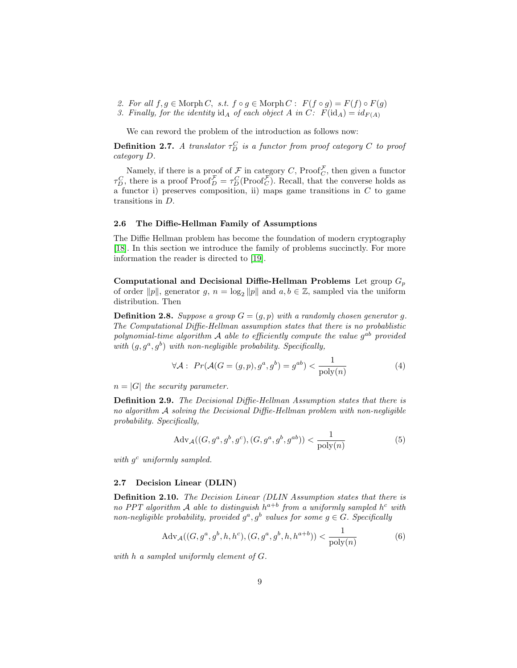- 2. For all  $f, g \in \text{Morph } C$ , s.t.  $f \circ g \in \text{Morph } C : F(f \circ g) = F(f) \circ F(g)$
- 3. Finally, for the identity  $\mathrm{id}_A$  of each object A in C:  $F(\mathrm{id}_A) = id_{F(A)}$

We can reword the problem of the introduction as follows now:

**Definition 2.7.** A translator  $\tau_D^C$  is a functor from proof category  $C$  to proof category D.

Namely, if there is a proof of  $\mathcal F$  in category C, Proof  $_{C}^{\mathcal F}$ , then given a functor  $\tau_D^C$ , there is a proof  $\text{Proof}_D^{\mathcal{F}} = \tau_D^C(\text{Proof}_C^{\mathcal{F}})$ . Recall, that the converse holds as  $a$  functor i) preserves composition, ii) maps game transitions in C to game transitions in D.

#### 2.6 The Diffie-Hellman Family of Assumptions

The Diffie Hellman problem has become the foundation of modern cryptography [\[18\]](#page-27-15). In this section we introduce the family of problems succinctly. For more information the reader is directed to [\[19\]](#page-27-16).

Computational and Decisional Diffie-Hellman Problems Let group  $G_p$ of order  $||p||$ , generator g,  $n = \log_2 ||p||$  and  $a, b \in \mathbb{Z}$ , sampled via the uniform distribution. Then

**Definition 2.8.** Suppose a group  $G = (g, p)$  with a randomly chosen generator g. The Computational Diffie-Hellman assumption states that there is no probablistic polynomial-time algorithm  $A$  able to efficiently compute the value  $g^{ab}$  provided with  $(g, g^a, g^b)$  with non-negligible probability. Specifically,

$$
\forall \mathcal{A}: \ Pr(\mathcal{A}(G = (g, p), g^a, g^b) = g^{ab}) < \frac{1}{\text{poly}(n)}\tag{4}
$$

 $n = |G|$  the security parameter.

Definition 2.9. The Decisional Diffie-Hellman Assumption states that there is no algorithm A solving the Decisional Diffie-Hellman problem with non-negligible probability. Specifically,

$$
Adv_{\mathcal{A}}((G, g^a, g^b, g^c), (G, g^a, g^b, g^{ab})) < \frac{1}{poly(n)}
$$
(5)

with  $g^c$  uniformly sampled.

#### 2.7 Decision Linear (DLIN)

Definition 2.10. The Decision Linear (DLIN Assumption states that there is no PPT algorithm A able to distinguish  $h^{a+b}$  from a uniformly sampled  $h^c$  with non-negligible probability, provided  $g^a$ ,  $g^b$  values for some  $g \in G$ . Specifically

$$
Adv_{\mathcal{A}}((G, g^a, g^b, h, h^c), (G, g^a, g^b, h, h^{a+b})) < \frac{1}{poly(n)}
$$
(6)

with h a sampled uniformly element of G.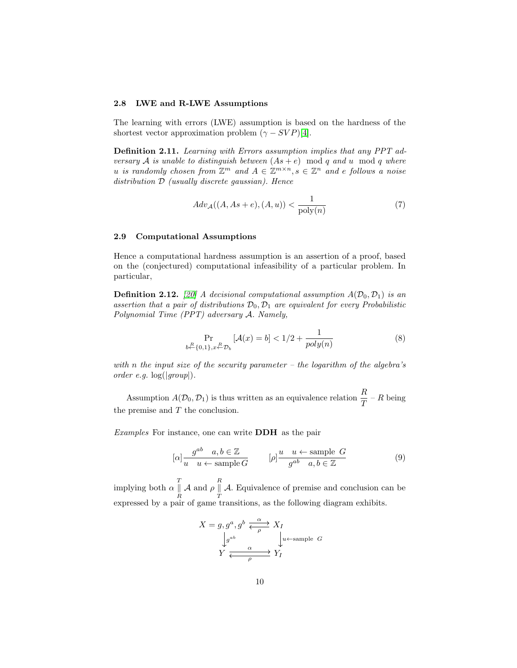#### 2.8 LWE and R-LWE Assumptions

The learning with errors (LWE) assumption is based on the hardness of the shortest vector approximation problem  $(\gamma - SVP)[4]$  $(\gamma - SVP)[4]$ .

Definition 2.11. Learning with Errors assumption implies that any PPT adversary A is unable to distinguish between  $(As + e) \mod q$  and u mod q where u is randomly chosen from  $\mathbb{Z}^m$  and  $A \in \mathbb{Z}^{m \times n}$ ,  $s \in \mathbb{Z}^n$  and e follows a noise distribution  $D$  (usually discrete gaussian). Hence

$$
Adv_{\mathcal{A}}((A, As+e), (A, u)) < \frac{1}{\text{poly}(n)}\tag{7}
$$

### 2.9 Computational Assumptions

Hence a computational hardness assumption is an assertion of a proof, based on the (conjectured) computational infeasibility of a particular problem. In particular,

**Definition 2.12.** [\[20\]](#page-27-17) A decisional computational assumption  $A(\mathcal{D}_0, \mathcal{D}_1)$  is an assertion that a pair of distributions  $\mathcal{D}_0$ ,  $\mathcal{D}_1$  are equivalent for every Probabilistic Polynomial Time (PPT) adversary A. Namely,

$$
\Pr_{b \leftarrow \{0,1\}, x \leftarrow B} \left[ \mathcal{A}(x) = b \right] < 1/2 + \frac{1}{poly(n)} \tag{8}
$$

with n the input size of the security parameter – the logarithm of the algebra's order e.g. log(|group|).

Assumption  $A(D_0, D_1)$  is thus written as an equivalence relation  $\frac{R}{T} - R$  being the premise and  $T$  the conclusion.

Examples For instance, one can write DDH as the pair

$$
[\alpha] \frac{g^{ab} \quad a, b \in \mathbb{Z}}{u \quad u \leftarrow \text{sample } G} \qquad [\rho] \frac{u \quad u \leftarrow \text{sample } G}{g^{ab} \quad a, b \in \mathbb{Z}} \tag{9}
$$

implying both  $\alpha \parallel$ R A and  $\rho \stackrel{R}{\parallel}$  $\boldsymbol{\mathcal{I}}$ A. Equivalence of premise and conclusion can be expressed by a pair of game transitions, as the following diagram exhibits.

$$
X = g, g^a, g^b \xleftarrow{\alpha} X_I
$$
  
\n
$$
\downarrow g^{ab} \qquad \qquad \downarrow u \leftarrow \text{sample } G
$$
  
\n
$$
Y \xleftarrow{\alpha} Y_I
$$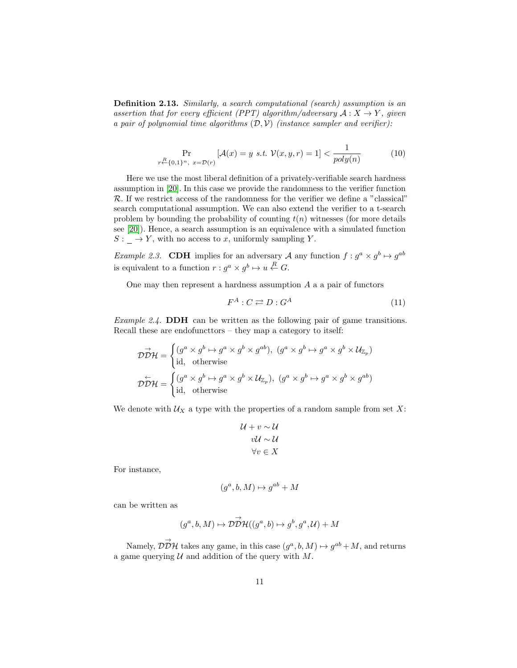Definition 2.13. Similarly, a search computational (search) assumption is an assertion that for every efficient (PPT) algorithm/adversary  $A: X \rightarrow Y$ , given a pair of polynomial time algorithms  $(D, V)$  (instance sampler and verifier):

$$
\Pr_{r \stackrel{R}{\leftarrow} \{0,1\}^n, \ x = \mathcal{D}(r)} \left[ \mathcal{A}(x) = y \ s.t. \ \mathcal{V}(x, y, r) = 1 \right] < \frac{1}{poly(n)} \tag{10}
$$

Here we use the most liberal definition of a privately-verifiable search hardness assumption in [\[20\]](#page-27-17). In this case we provide the randomness to the verifier function R. If we restrict access of the randomness for the verifier we define a "classical" search computational assumption. We can also extend the verifier to a t-search problem by bounding the probability of counting  $t(n)$  witnesses (for more details see [\[20\]](#page-27-17)). Hence, a search assumption is an equivalence with a simulated function  $S: \_ \rightarrow Y$ , with no access to x, uniformly sampling Y.

*Example 2.3.* CDH implies for an adversary A any function  $f : g^a \times g^b \mapsto g^{ab}$ is equivalent to a function  $r : g^a \times g^b \mapsto u \stackrel{R}{\leftarrow} G$ .

One may then represent a hardness assumption  $A$  a a pair of functors

$$
F^A: C \rightleftarrows D: G^A \tag{11}
$$

Example 2.4. DDH can be written as the following pair of game transitions. Recall these are endofuncttors – they map a category to itself:

$$
\overrightarrow{\mathcal{DDH}} = \begin{cases}\n(g^a \times g^b \mapsto g^a \times g^b \times g^{ab}), & (g^a \times g^b \mapsto g^a \times g^b \times \mathcal{U}_{\mathbb{Z}_p}) \\
\text{id}, & \text{otherwise}\n\end{cases}
$$
\n
$$
\overrightarrow{\mathcal{DDH}} = \begin{cases}\n(g^a \times g^b \mapsto g^a \times g^b \times \mathcal{U}_{\mathbb{Z}_p}), & (g^a \times g^b \mapsto g^a \times g^b \times g^{ab}) \\
\text{id}, & \text{otherwise}\n\end{cases}
$$

We denote with  $\mathcal{U}_X$  a type with the properties of a random sample from set X:

$$
\mathcal{U} + v \sim \mathcal{U}
$$

$$
v\mathcal{U} \sim \mathcal{U}
$$

$$
\forall v \in X
$$

For instance,

$$
(g^a, b, M) \mapsto g^{ab} + M
$$

can be written as

$$
(g^a, b, M) \mapsto \mathcal{D}\overset{\rightarrow}{\mathcal{D}}\mathcal{H}((g^a, b) \mapsto g^b, g^a, \mathcal{U}) + M
$$

Namely,  $\overrightarrow{DDH}$  takes any game, in this case  $(g^a, b, M) \mapsto g^{ab} + M$ , and returns a game querying  $U$  and addition of the query with  $M$ .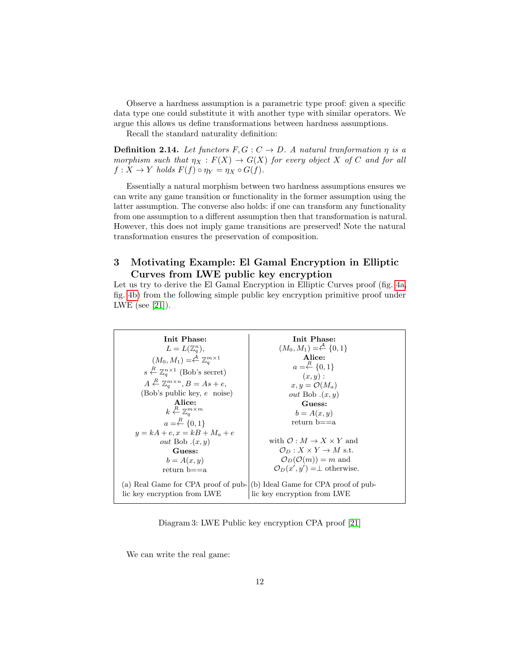Observe a hardness assumption is a parametric type proof: given a specific data type one could substitute it with another type with similar operators. We argue this allows us define transformations between hardness assumptions.

Recall the standard naturality definition:

**Definition 2.14.** Let functors  $F, G: C \rightarrow D$ . A natural tranformation  $\eta$  is a morphism such that  $\eta_X : F(X) \to G(X)$  for every object X of C and for all  $f: X \to Y$  holds  $F(f) \circ \eta_Y = \eta_X \circ G(f)$ .

Essentially a natural morphism between two hardness assumptions ensures we can write any game transition or functionality in the former assumption using the latter assumption. The converse also holds: if one can transform any functionality from one assumption to a different assumption then that transformation is natural. However, this does not imply game transitions are preserved! Note the natural transformation ensures the preservation of composition.

# 3 Motivating Example: El Gamal Encryption in Elliptic Curves from LWE public key encryption

Let us try to derive the El Gamal Encryption in Elliptic Curves proof (fig. [4a,](#page-13-0) fig. [4b\)](#page-13-0) from the following simple public key encryption primitive proof under LWE (see [\[21\]](#page-27-18)).

Init Phase:  $L = L(\mathbb{Z}_q^n),$  $(M_0, M_1) = \stackrel{A}{\leftarrow} \mathbb{Z}_q^{m \times 1}$  $s \stackrel{R}{\leftarrow} \mathbb{Z}_q^{n \times 1}$  (Bob's secret)  $A \stackrel{R}{\leftarrow} \mathbb{Z}_q^{m \times n}, B = As + e,$ (Bob's public key, e noise) Alice:  $k \stackrel{R}{\leftarrow} \mathbb{Z}_q^{m \times m}$  $a = \stackrel{R}{\leftarrow} \{0,1\}$  $y = kA + e, x = kB + M_a + e$ out Bob  $.(x, y)$ Guess:  $b = A(x, y)$ return b==a (a) Real Game for CPA proof of pub- (b) Ideal Game for CPA proof of public key encryption from LWE Init Phase:  $(M_0, M_1) = \stackrel{A}{\leftarrow} \{0, 1\}$ Alice:  $a = \stackrel{R}{\leftarrow} \{0,1\}$  $(x, y)$ :  $x, y = \mathcal{O}(M_a)$ out Bob  $(x, y)$ Guess:  $b = A(x, y)$ return b==a with  $\mathcal{O}: M \to X \times Y$  and  $\mathcal{O}_D: X \times Y \to M$  s.t.  $\mathcal{O}_D(\mathcal{O}(m)) = m$  and  $\mathcal{O}_D(x', y') = \perp$  otherwise. lic key encryption from LWE

Diagram 3: LWE Public key encryption CPA proof [\[21\]](#page-27-18)

We can write the real game: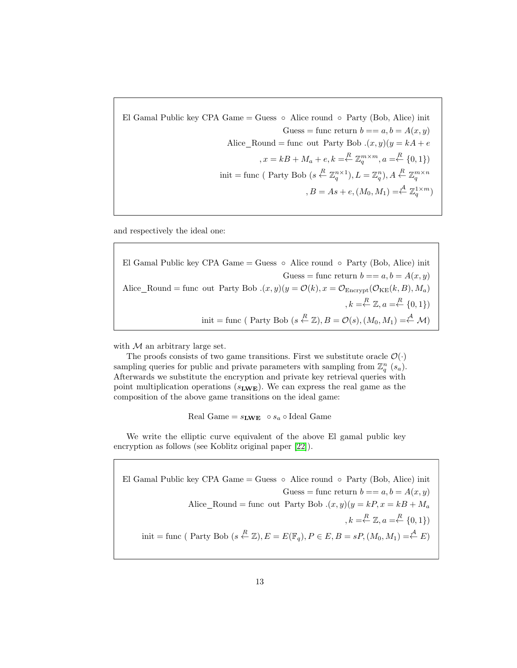El Gamal Public key CPA Game = Guess  $\circ$  Alice round  $\circ$  Party (Bob, Alice) init Guess = func return  $b == a, b = A(x, y)$ Alice Round = func out Party Bob  $(x, y)(y = kA + e)$  $x = kB + M_a + e, k = \frac{R}{\sqrt{q}} \mathbb{Z}_q^{m \times m}, a = \frac{R}{\sqrt{q}} \{0, 1\}$ init = func ( Party Bob ( $s \stackrel{R}{\leftarrow} \mathbb{Z}_q^{n \times 1}$ ),  $L = \mathbb{Z}_q^n$ ),  $A \stackrel{R}{\leftarrow} \mathbb{Z}_q^{m \times n}$  $, B = As + e, (M_0, M_1) = \stackrel{A}{\leftarrow} \mathbb{Z}_q^{1 \times m}$ 

and respectively the ideal one:

El Gamal Public key CPA Game = Guess  $\circ$  Alice round  $\circ$  Party (Bob, Alice) init Guess = func return  $b == a, b = A(x, y)$ Alice Round = func out Party Bob  $(x, y)(y = \mathcal{O}(k), x = \mathcal{O}_{\text{Energy}}(\mathcal{O}_{\text{KE}}(k, B), M_a)$  $, k = \stackrel{R}{\leftarrow} \mathbb{Z}, a = \stackrel{R}{\leftarrow} \{0, 1\})$ init = func (Party Bob  $(s \stackrel{R}{\leftarrow} \mathbb{Z}), B = \mathcal{O}(s), (M_0, M_1) = \stackrel{A}{\leftarrow} \mathcal{M})$ 

with  $M$  an arbitrary large set.

The proofs consists of two game transitions. First we substitute oracle  $\mathcal{O}(\cdot)$ sampling queries for public and private parameters with sampling from  $\mathbb{Z}_q^n$  (s<sub>a</sub>). Afterwards we substitute the encryption and private key retrieval queries with point multiplication operations  $(s_{\text{LWE}})$ . We can express the real game as the composition of the above game transitions on the ideal game:

Real Game =  $s_{\text{LWE}} \circ s_a \circ \text{Ideal Game}$ 

We write the elliptic curve equivalent of the above El gamal public key encryption as follows (see Koblitz original paper [\[22\]](#page-27-19)).

El Gamal Public key CPA Game = Guess  $\circ$  Alice round  $\circ$  Party (Bob, Alice) init Guess = func return  $b == a, b = A(x, y)$ Alice Round = func out Party Bob  $(x, y)(y = kP, x = kB + M_a)$  $, k = \stackrel{R}{\leftarrow} \mathbb{Z}, a = \stackrel{R}{\leftarrow} \{0, 1\})$ init = func (Party Bob  $(s \stackrel{R}{\leftarrow} \mathbb{Z}), E = E(\mathbb{F}_q), P \in E, B = sP, (M_0, M_1) = \stackrel{A}{\leftarrow} E)$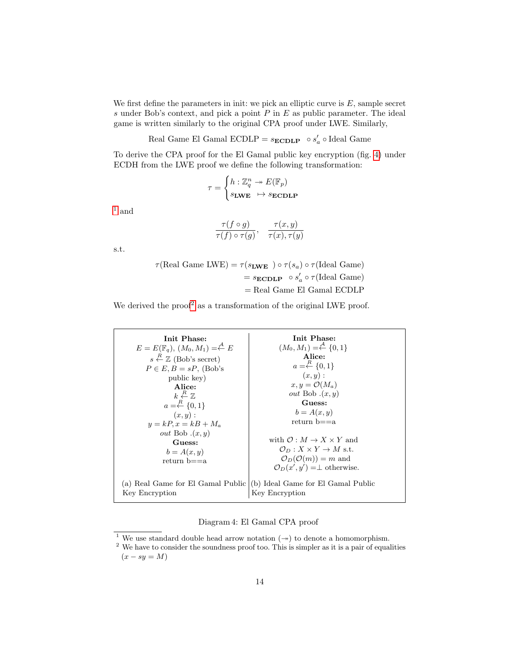We first define the parameters in init: we pick an elliptic curve is  $E$ , sample secret s under Bob's context, and pick a point  $P$  in  $E$  as public parameter. The ideal game is written similarly to the original CPA proof under LWE. Similarly,

Real Game El Gamal ECDLP =  $s_{\text{ECDLP}} \circ s'_a \circ$  Ideal Game

To derive the CPA proof for the El Gamal public key encryption (fig. [4\)](#page-13-0) under ECDH from the LWE proof we define the following transformation:

$$
\tau = \begin{cases} h: \mathbb{Z}_q^n \twoheadrightarrow E(\mathbb{F}_p) \\ s_{\text{LWE}} & \mapsto s_{\text{ECDLP}} \end{cases}
$$

 $1$  and

$$
\frac{\tau(f \circ g)}{\tau(f) \circ \tau(g)}, \quad \frac{\tau(x, y)}{\tau(x), \tau(y)}
$$

s.t.

 $\tau(\text{Real Game LWE}) = \tau(s_{\text{LWE}}) \circ \tau(s_a) \circ \tau(\text{Ideal Game})$  $= s_{\mathbf{ECDLP}} \circ s'_a \circ \tau(\text{Ideal Game})$  $=$  Real Game El Gamal ECDLP

We derived the proof<sup>[2](#page-13-2)</sup> as a transformation of the original LWE proof.

<span id="page-13-0"></span>

| Init Phase:                                                    | Init Phase:                                      |
|----------------------------------------------------------------|--------------------------------------------------|
| $E = E(\mathbb{F}_q), (M_0, M_1) = \stackrel{A}{\leftarrow} E$ | $(M_0, M_1) = \stackrel{A}{\leftarrow} \{0, 1\}$ |
| $s \stackrel{R}{\leftarrow} \mathbb{Z}$ (Bob's secret)         | Alice:                                           |
| $P \in E, B = sP$ , (Bob's                                     | $a = \stackrel{R}{\leftarrow} \{0,1\}$           |
| public key)                                                    | (x,y):                                           |
| Alice:                                                         | $x, y = \mathcal{O}(M_a)$                        |
| $k \stackrel{R}{\leftarrow} \mathbb{Z}$                        | <i>out</i> Bob $(x, y)$                          |
| $a = \stackrel{R}{\leftarrow} \{0, 1\}$                        | Guess:                                           |
| $(x,y)$ :                                                      | $b = A(x, y)$                                    |
| $y = kP, x = kB + M_a$                                         | return $b == a$                                  |
| <i>out</i> Bob $(x, y)$                                        | with $\mathcal{O}: M \to X \times Y$ and         |
| Guess:                                                         | $\mathcal{O}_D: X \times Y \to M$ s.t.           |
| $b = A(x, y)$                                                  | $\mathcal{O}_D(\mathcal{O}(m)) = m$ and          |
| return $b == a$                                                | $\mathcal{O}_D(x', y') = \perp$ otherwise.       |
| (a) Real Game for El Gamal Public                              | (b) Ideal Game for El Gamal Public               |
| Key Encryption                                                 | Key Encryption                                   |

Diagram 4: El Gamal CPA proof

<span id="page-13-1"></span><sup>&</sup>lt;sup>1</sup> We use standard double head arrow notation  $(\rightarrow)$  to denote a homomorphism.

<span id="page-13-2"></span> $2$  We have to consider the soundness proof too. This is simpler as it is a pair of equalities  $(x - sy = M)$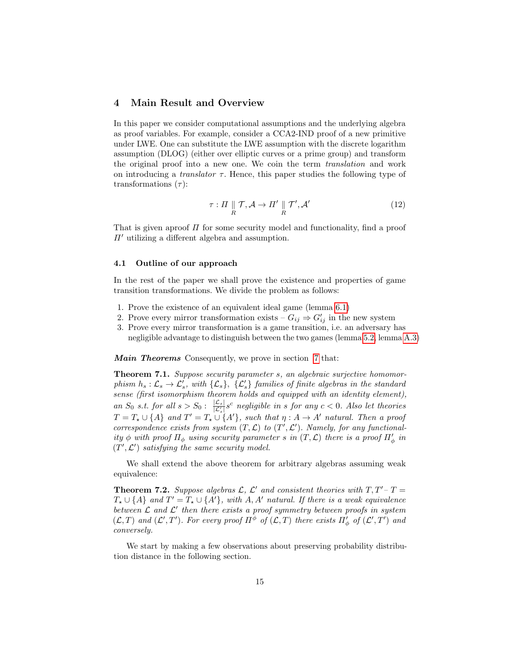# 4 Main Result and Overview

In this paper we consider computational assumptions and the underlying algebra as proof variables. For example, consider a CCA2-IND proof of a new primitive under LWE. One can substitute the LWE assumption with the discrete logarithm assumption (DLOG) (either over elliptic curves or a prime group) and transform the original proof into a new one. We coin the term translation and work on introducing a *translator*  $\tau$ . Hence, this paper studies the following type of transformations  $(\tau)$ :

$$
\tau: \Pi \parallel_{R} \mathcal{T}, \mathcal{A} \to \Pi' \parallel_{R} \mathcal{T}', \mathcal{A}' \tag{12}
$$

That is given aproof  $\Pi$  for some security model and functionality, find a proof  $\Pi'$  utilizing a different algebra and assumption.

## 4.1 Outline of our approach

In the rest of the paper we shall prove the existence and properties of game transition transformations. We divide the problem as follows:

- 1. Prove the existence of an equivalent ideal game (lemma [6.1\)](#page-19-1)
- 2. Prove every mirror transformation exists  $G_{ij} \Rightarrow G'_{ij}$  in the new system
- 3. Prove every mirror transformation is a game transition, i.e. an adversary has negligible advantage to distinguish between the two games (lemma [5.2,](#page-17-0) lemma [A.3\)](#page-31-0)

**Main Theorems** Consequently, we prove in section [7](#page-20-1) that:

Theorem 7.1. Suppose security parameter s, an algebraic surjective homomorphism  $h_s: \mathcal{L}_s \to \mathcal{L}'_s$ , with  $\{\mathcal{L}_s\}$ ,  $\{\mathcal{L}'_s\}$  families of finite algebras in the standard sense (first isomorphism theorem holds and equipped with an identity element), an  $S_0$  s.t. for all  $s > S_0$ :  $\frac{|\mathcal{L}_s|}{|\mathcal{L}_s|} s^c$  negligible in s for any  $c < 0$ . Also let theories  $T = T_{\star} \cup \{A\}$  and  $T' = T_{\star} \cup \{A'\}$ , such that  $\eta : A \to A'$  natural. Then a proof correspondence exists from system  $(T, \mathcal{L})$  to  $(T', \mathcal{L}')$ . Namely, for any functionality  $\phi$  with proof  $\Pi_{\phi}$  using security parameter s in  $(T, \mathcal{L})$  there is a proof  $\Pi'_{\phi}$  in  $(T', \mathcal{L}')$  satisfying the same security model.

We shall extend the above theorem for arbitrary algebras assuming weak equivalence:

**Theorem 7.2.** Suppose algebras  $\mathcal{L}$ ,  $\mathcal{L}'$  and consistent theories with  $T, T'-T=$  $T_{\star} \cup \{A\}$  and  $T' = T_{\star} \cup \{A'\}$ , with  $A, A'$  natural. If there is a weak equivalence between  $\mathcal L$  and  $\mathcal L'$  then there exists a proof symmetry between proofs in system  $(\mathcal{L},T)$  and  $(\mathcal{L}',T')$ . For every proof  $\Pi^{\phi}$  of  $(\mathcal{L},T)$  there exists  $\Pi'_{\phi}$  of  $(\mathcal{L}',T')$  and conversely.

We start by making a few observations about preserving probability distribution distance in the following section.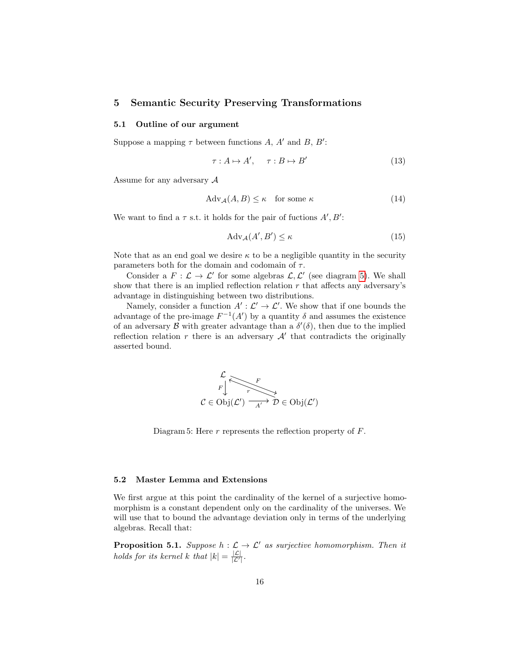# 5 Semantic Security Preserving Transformations

## 5.1 Outline of our argument

Suppose a mapping  $\tau$  between functions A, A' and B, B':

$$
\tau: A \mapsto A', \quad \tau: B \mapsto B' \tag{13}
$$

Assume for any adversary  $A$ 

$$
Adv_{\mathcal{A}}(A, B) \le \kappa \quad \text{for some } \kappa \tag{14}
$$

We want to find a  $\tau$  s.t. it holds for the pair of fuctions  $A', B'$ :

$$
Adv_{\mathcal{A}}(A', B') \le \kappa \tag{15}
$$

Note that as an end goal we desire  $\kappa$  to be a negligible quantity in the security parameters both for the domain and codomain of  $\tau$ .

Consider a  $F: \mathcal{L} \to \mathcal{L}'$  for some algebras  $\mathcal{L}, \mathcal{L}'$  (see diagram [5\)](#page-15-0). We shall show that there is an implied reflection relation  $r$  that affects any adversary's advantage in distinguishing between two distributions.

<span id="page-15-0"></span>Namely, consider a function  $A': \mathcal{L}' \to \mathcal{L}'$ . We show that if one bounds the advantage of the pre-image  $F^{-1}(A')$  by a quantity  $\delta$  and assumes the existence of an adversary  $\mathcal B$  with greater advantage than a  $\delta'(\delta)$ , then due to the implied reflection relation  $r$  there is an adversary  $\mathcal{A}'$  that contradicts the originally asserted bound.



Diagram 5: Here  $r$  represents the reflection property of  $F$ .

#### 5.2 Master Lemma and Extensions

We first argue at this point the cardinality of the kernel of a surjective homomorphism is a constant dependent only on the cardinality of the universes. We will use that to bound the advantage deviation only in terms of the underlying algebras. Recall that:

<span id="page-15-1"></span>**Proposition 5.1.** Suppose  $h : \mathcal{L} \to \mathcal{L}'$  as surjective homomorphism. Then it holds for its kernel k that  $|k| = \frac{|\mathcal{L}|}{|\mathcal{L}'|}$ .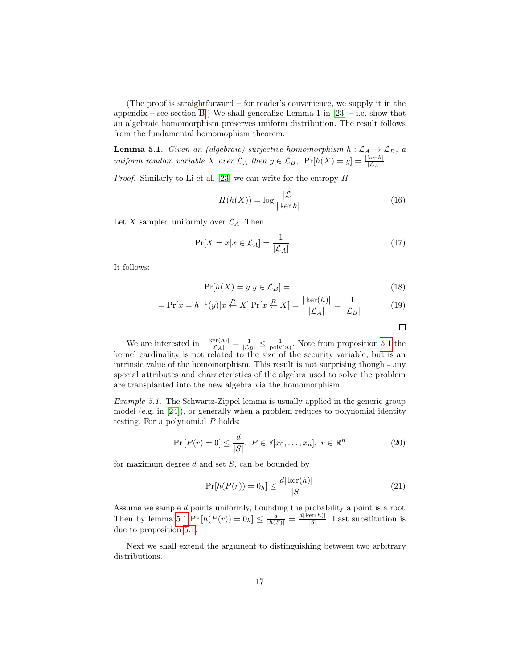(The proof is straightforward – for reader's convenience, we supply it in the appendix – see section [B.](#page-31-1)) We shall generalize Lemma 1 in  $[23]$  – i.e. show that an algebraic homomorphism preserves uniform distribution. The result follows from the fundamental homomophism theorem.

<span id="page-16-0"></span>**Lemma 5.1.** Given an (algebraic) surjective homomorphism  $h : \mathcal{L}_A \to \mathcal{L}_B$ , a uniform random variable X over  $\mathcal{L}_A$  then  $y \in \mathcal{L}_B$ ,  $\Pr[h(X) = y] = \frac{|\ker h|}{|\mathcal{L}_A|}$ .

Proof. Similarly to Li et al. [\[23\]](#page-27-20) we can write for the entropy H

$$
H(h(X)) = \log \frac{|\mathcal{L}|}{|\ker h|}
$$
 (16)

Let X sampled uniformly over  $\mathcal{L}_A$ . Then

$$
\Pr[X = x | x \in \mathcal{L}_A] = \frac{1}{|\mathcal{L}_A|} \tag{17}
$$

It follows:

$$
\Pr[h(X) = y | y \in \mathcal{L}_B] = \tag{18}
$$

$$
= \Pr[x = h^{-1}(y)|x \stackrel{R}{\leftarrow} X] \Pr[x \stackrel{R}{\leftarrow} X] = \frac{|\ker(h)|}{|\mathcal{L}_A|} = \frac{1}{|\mathcal{L}_B|}
$$
(19)

 $\Box$ 

We are interested in  $\frac{|\ker(h)|}{|\mathcal{L}_A|} = \frac{1}{|\mathcal{L}_B|} \leq \frac{1}{\text{poly}(n)}$ . Note from proposition [5.1](#page-15-1) the kernel cardinality is not related to the size of the security variable, but is an intrinsic value of the homomorphism. This result is not surprising though - any special attributes and characteristics of the algebra used to solve the problem are transplanted into the new algebra via the homomorphism.

Example 5.1. The Schwartz-Zippel lemma is usually applied in the generic group model (e.g. in [\[24\]](#page-27-21)), or generally when a problem reduces to polynomial identity testing. For a polynomial P holds:

$$
\Pr\left[P(r) = 0\right] \le \frac{d}{|S|}, \ P \in \mathbb{F}[x_0, \dots, x_n], \ r \in \mathbb{R}^n \tag{20}
$$

for maximum degree  $d$  and set  $S$ , can be bounded by

$$
\Pr[h(P(r)) = 0_h] \le \frac{d|\ker(h)|}{|S|} \tag{21}
$$

Assume we sample d points uniformly, bounding the probability a point is a root. Then by lemma [5.1](#page-16-0)  $Pr[h(P(r)) = 0_h] \leq \frac{d}{|h(S)|} = \frac{d |\ker(h)|}{|S|}$  $\frac{|\mathcal{S}|}{|S|}$ . Last substitution is due to proposition [5.1.](#page-15-1)

Next we shall extend the argument to distinguishing between two arbitrary distributions.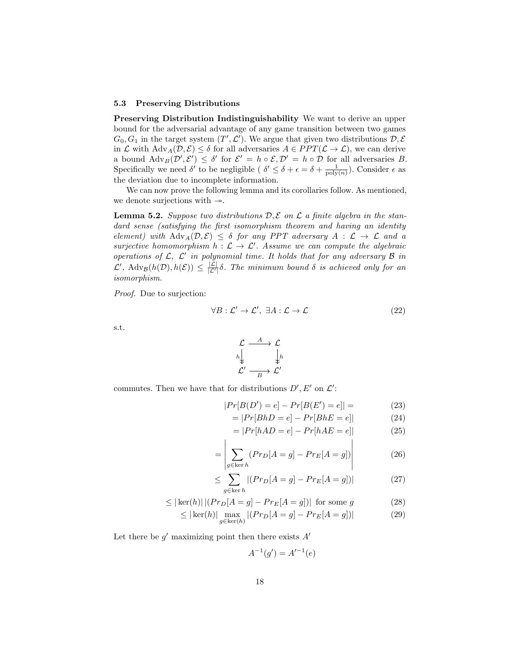#### 5.3 Preserving Distributions

Preserving Distribution Indistinguishability We want to derive an upper bound for the adversarial advantage of any game transition between two games  $G_0, G_1$  in the target system  $(T', \mathcal{L}')$ . We argue that given two distributions  $\mathcal{D}, \mathcal{E}'$ in  $\mathcal L$  with  $\text{Adv}_A(\mathcal D, \mathcal E) \leq \delta$  for all adversaries  $A \in PPT(\mathcal L \to \mathcal L)$ , we can derive a bound  $\text{Adv}_B(\mathcal{D}', \mathcal{E}') \leq \delta'$  for  $\mathcal{E}' = h \circ \mathcal{E}, \mathcal{D}' = h \circ \mathcal{D}$  for all adversaries B. Specifically we need  $\delta'$  to be negligible ( $\delta' \leq \delta + \epsilon = \delta + \frac{1}{\text{poly}(n)}$ ). Consider  $\epsilon$  as the deviation due to incomplete information.

We can now prove the following lemma and its corollaries follow. As mentioned, we denote surjections with  $\rightarrow$ .

<span id="page-17-0"></span>**Lemma 5.2.** Suppose two distributions  $D, \mathcal{E}$  on  $\mathcal{L}$  a finite algebra in the standard sense (satisfying the first isomorphism theorem and having an identity element) with  $\text{Adv}_{A}(\mathcal{D}, \mathcal{E}) \leq \delta$  for any PPT adversary  $A : \mathcal{L} \to \mathcal{L}$  and a surjective homomorphism  $h : \mathcal{L} \to \mathcal{L}'$ . Assume we can compute the algebraic operations of  $\mathcal{L}, \mathcal{L}'$  in polynomial time. It holds that for any adversary  $\mathcal B$  in  $\mathcal{L}'$ ,  $\text{Adv}_{\mathcal{B}}(h(\mathcal{D}), h(\mathcal{E})) \leq \frac{|\mathcal{L}|}{|\mathcal{L}'|} \delta$ . The minimum bound  $\delta$  is achieved only for an isomorphism.

Proof. Due to surjection:

$$
\forall B : \mathcal{L}' \to \mathcal{L}', \ \exists A : \mathcal{L} \to \mathcal{L}
$$
\n
$$
(22)
$$

s.t.

$$
\begin{array}{ccc}\n\mathcal{L} & \xrightarrow{A} & \mathcal{L} \\
h\downarrow & & \downarrow h \\
\mathcal{L}' & \xrightarrow{B} & \mathcal{L}'\n\end{array}
$$

commutes. Then we have that for distributions  $D', E'$  on  $\mathcal{L}'$ :

 $\mathbf{I}$ 

$$
|Pr[B(D') = e] - Pr[B(E') = e]| = \t(23)
$$

$$
=|Pr[BhD = e] - Pr[BhE = e]| \qquad (24)
$$

$$
=|Pr[hAD = e] - Pr[hAE = e]|
$$
\n(25)

 $\mathbf{I}$ 

$$
= \left| \sum_{g \in \ker h} (Pr_D[A = g] - Pr_E[A = g]) \right| \tag{26}
$$

$$
\leq \sum_{g \in \ker h} |(Pr_D[A = g] - Pr_E[A = g])| \tag{27}
$$

$$
\leq |\ker(h)| \left| (Pr_D[A = g] - Pr_E[A = g]) \right| \text{ for some } g \tag{28}
$$

$$
\leq |\ker(h)| \max_{g \in \ker(h)} |(Pr_D[A = g] - Pr_E[A = g])| \tag{29}
$$

Let there be  $g'$  maximizing point then there exists  $A'$ 

$$
A^{-1}(g') = A'^{-1}(e)
$$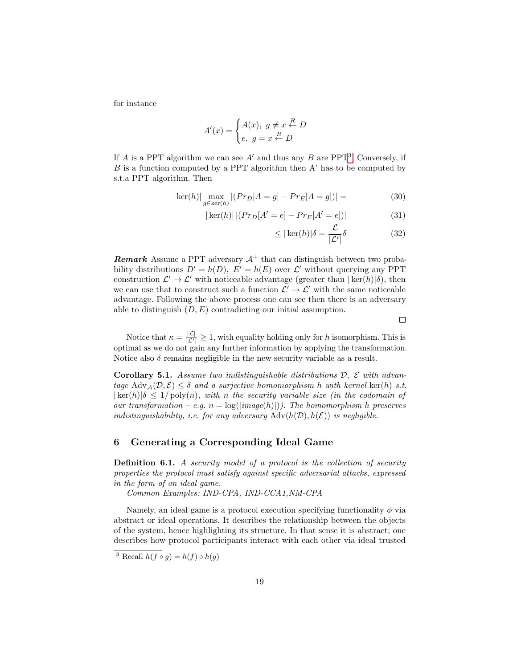for instance

$$
A'(x) = \begin{cases} A(x), & g \neq x \stackrel{R}{\leftarrow} D \\ e, & g = x \stackrel{R}{\leftarrow} D \end{cases}
$$

If A is a PPT algorithm we can see  $A'$  and thus any B are PPT<sup>[3](#page-18-0)</sup>. Conversely, if  $B$  is a function computed by a PPT algorithm then  $A'$  has to be computed by s.t.a PPT algorithm. Then

$$
|\ker(h)| \max_{g \in \ker(h)} |(Pr_D[A = g] - Pr_E[A = g])| = \tag{30}
$$

$$
|\ker(h)| |(Pr_D[A' = e] - Pr_E[A' = e])|
$$
\n(31)

$$
\leq |\ker(h)|\delta = \frac{|\mathcal{L}|}{|\mathcal{L}'|}\delta \tag{32}
$$

**Remark** Assume a PPT adversary  $A^+$  that can distinguish between two probability distributions  $D' = h(D)$ ,  $E' = h(E)$  over  $\mathcal{L}'$  without querying any PPT construction  $\mathcal{L}' \to \mathcal{L}'$  with noticeable advantage (greater than  $|\ker(h)|\delta$ ), then we can use that to construct such a function  $\mathcal{L}' \to \mathcal{L}'$  with the same noticeable advantage. Following the above process one can see then there is an adversary able to distinguish  $(D, E)$  contradicting our initial assumption.

 $\Box$ 

Notice that  $\kappa = \frac{|\mathcal{L}|}{|\mathcal{L}'|} \geq 1$ , with equality holding only for h isomorphism. This is optimal as we do not gain any further information by applying the transformation. Notice also  $\delta$  remains negligible in the new security variable as a result.

Corollary 5.1. Assume two indistinguishable distributions  $D$ ,  $\mathcal E$  with advantage  $\text{Adv}_{\mathcal{A}}(\mathcal{D}, \mathcal{E}) \leq \delta$  and a surjective homomorphism h with kernel ker(h) s.t.  $|\ker(h)|\delta \leq 1/\mathrm{poly}(n)$ , with n the security variable size (in the codomain of our transformation – e.g.  $n = \log(|image(h)|)$ ). The homomorphism h preserves indistinguishability, i.e. for any adversary  $\text{Adv}(h(\mathcal{D}), h(\mathcal{E}))$  is negligible.

# 6 Generating a Corresponding Ideal Game

Definition 6.1. A security model of a protocol is the collection of security properties the protocol must satisfy against specific adversarial attacks, expressed in the form of an ideal game.

Common Examples: IND-CPA, IND-CCA1,NM-CPA

Namely, an ideal game is a protocol execution specifying functionality  $\phi$  via abstract or ideal operations. It describes the relationship between the objects of the system, hence highlighting its structure. In that sense it is abstract; one describes how protocol participants interact with each other via ideal trusted

<span id="page-18-0"></span><sup>&</sup>lt;sup>3</sup> Recall  $h(f \circ g) = h(f) \circ h(g)$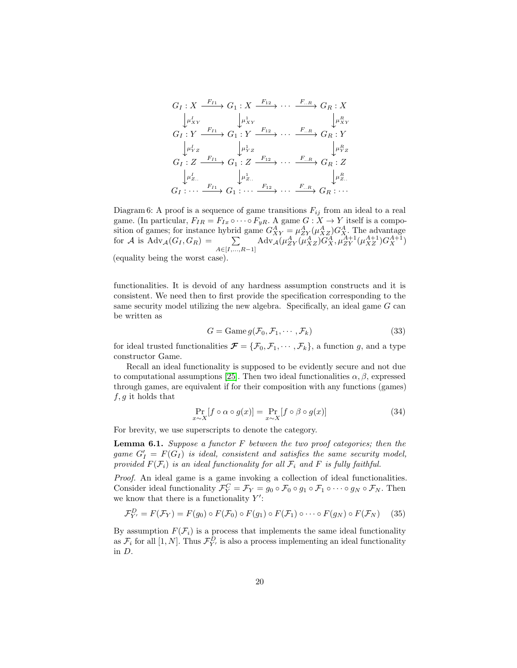<span id="page-19-0"></span>
$$
G_I: X \xrightarrow{F_{I1}} G_1: X \xrightarrow{F_{12}} \cdots \xrightarrow{F_{..R}} G_R: X
$$
  
\n
$$
\downarrow \mu_{XY}^I
$$
  
\n
$$
G_I: Y \xrightarrow{F_{I1}} G_1: Y \xrightarrow{F_{12}} \cdots \xrightarrow{F_{..R}} G_R: Y
$$
  
\n
$$
\downarrow \mu_{YZ}^I
$$
  
\n
$$
G_I: Z \xrightarrow{F_{I1}} G_1: Z \xrightarrow{F_{12}} \cdots \xrightarrow{F_{..R}} G_R: Z
$$
  
\n
$$
\downarrow \mu_{Z}^I
$$
  
\n
$$
\downarrow \mu_{Z}^I
$$
  
\n
$$
\downarrow \mu_{Z}^I
$$
  
\n
$$
\downarrow \mu_{Z}^I
$$
  
\n
$$
\downarrow \mu_{Z}^I
$$
  
\n
$$
\downarrow \mu_{Z}^I
$$
  
\n
$$
\downarrow \mu_{Z}^I
$$
  
\n
$$
\downarrow \mu_{Z}^I
$$
  
\n
$$
\downarrow \mu_{Z}^I
$$
  
\n
$$
\downarrow \mu_{Z}^I
$$
  
\n
$$
\downarrow \mu_{Z}^I
$$
  
\n
$$
\downarrow \mu_{Z}^I
$$
  
\n
$$
\downarrow \mu_{Z}^I
$$
  
\n
$$
\downarrow \mu_{Z}^I
$$
  
\n
$$
\downarrow \mu_{Z}^I
$$
  
\n
$$
\downarrow \mu_{Z}^I
$$
  
\n
$$
\downarrow \mu_{Z}^I
$$
  
\n
$$
\downarrow \mu_{Z}^I
$$

Diagram 6: A proof is a sequence of game transitions  $F_{ij}$  from an ideal to a real game. (In particular,  $F_{IR} = F_{Ix} \circ \cdots \circ F_{yR}$ . A game  $G: X \to Y$  itself is a composition of games; for instance hybrid game  $G_{XY}^A = \mu_{ZY}^A(\mu_{XZ}^A) G_X^A$ . The advantage for A is  $\text{Adv}_{\mathcal{A}}(G_I, G_R) = \sum_{A \in [I, ..., R-1]} \text{Adv}_{\mathcal{A}}(\mu_{ZY}^A(\mu_{XZ}^A) \widetilde{G}_X^A, \mu_{ZY}^{A+1}(\mu_{XZ}^{A+1}) G_X^{A+1})$ (equality being the worst case).

functionalities. It is devoid of any hardness assumption constructs and it is consistent. We need then to first provide the specification corresponding to the same security model utilizing the new algebra. Specifically, an ideal game  $G$  can be written as

$$
G = \text{Game } g(\mathcal{F}_0, \mathcal{F}_1, \cdots, \mathcal{F}_k)
$$
\n(33)

for ideal trusted functionalities  $\mathcal{F} = {\mathcal{F}_0, \mathcal{F}_1, \cdots, \mathcal{F}_k}$ , a function g, and a type constructor Game.

Recall an ideal functionality is supposed to be evidently secure and not due to computational assumptions [\[25\]](#page-28-0). Then two ideal functionalities  $\alpha, \beta$ , expressed through games, are equivalent if for their composition with any functions (games)  $f, g$  it holds that

$$
\Pr_{x \sim X}[f \circ \alpha \circ g(x)] = \Pr_{x \sim X}[f \circ \beta \circ g(x)] \tag{34}
$$

For brevity, we use superscripts to denote the category.

<span id="page-19-1"></span>**Lemma 6.1.** Suppose a functor  $F$  between the two proof categories; then the game  $G'_I = F(G_I)$  is ideal, consistent and satisfies the same security model, provided  $F(\mathcal{F}_i)$  is an ideal functionality for all  $\mathcal{F}_i$  and F is fully faithful.

Proof. An ideal game is a game invoking a collection of ideal functionalities. Consider ideal functionality  $\mathcal{F}_Y^C = \mathcal{F}_Y = g_0 \circ \mathcal{F}_0 \circ g_1 \circ \mathcal{F}_1 \circ \cdots \circ g_N \circ \mathcal{F}_N$ . Then we know that there is a functionality  $Y'$ :

$$
\mathcal{F}_{Y'}^D = F(\mathcal{F}_Y) = F(g_0) \circ F(\mathcal{F}_0) \circ F(g_1) \circ F(\mathcal{F}_1) \circ \cdots \circ F(g_N) \circ F(\mathcal{F}_N)
$$
(35)

By assumption  $F(\mathcal{F}_i)$  is a process that implements the same ideal functionality as  $\mathcal{F}_i$  for all  $[1, N]$ . Thus  $\mathcal{F}_{Y'}^D$  is also a process implementing an ideal functionality in D.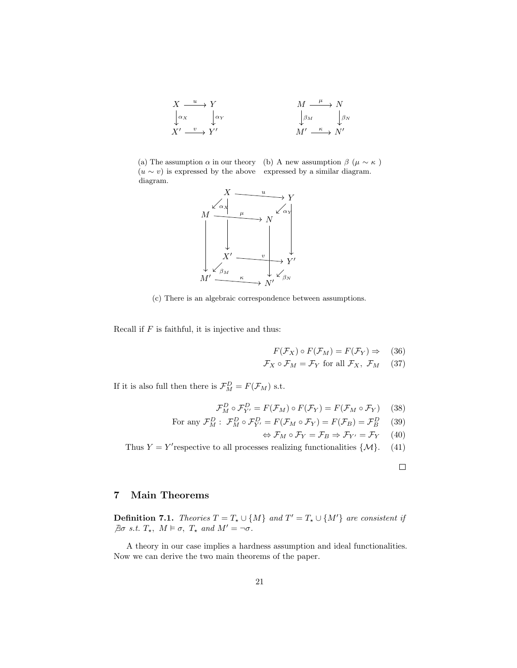

(a) The assumption  $\alpha$  in our theory (b) A new assumption  $\beta$  ( $\mu \sim \kappa$ )  $(u \sim v)$  is expressed by the above expressed by a similar diagram. diagram.



(c) There is an algebraic correspondence between assumptions.

Recall if  $F$  is faithful, it is injective and thus:

$$
F(\mathcal{F}_X) \circ F(\mathcal{F}_M) = F(\mathcal{F}_Y) \Rightarrow (36)
$$

$$
\mathcal{F}_X \circ \mathcal{F}_M = \mathcal{F}_Y \text{ for all } \mathcal{F}_X, \ \mathcal{F}_M \qquad (37)
$$

If it is also full then there is  $\mathcal{F}_{M}^{D} = F(\mathcal{F}_{M})$  s.t.

$$
\mathcal{F}_M^D \circ \mathcal{F}_{Y'}^D = F(\mathcal{F}_M) \circ F(\mathcal{F}_Y) = F(\mathcal{F}_M \circ \mathcal{F}_Y) \tag{38}
$$

For any 
$$
\mathcal{F}_M^D
$$
:  $\mathcal{F}_M^D \circ \mathcal{F}_{Y'}^D = F(\mathcal{F}_M \circ \mathcal{F}_Y) = F(\mathcal{F}_B) = \mathcal{F}_B^D$  (39)

$$
\Leftrightarrow \mathcal{F}_M \circ \mathcal{F}_Y = \mathcal{F}_B \Rightarrow \mathcal{F}_{Y'} = \mathcal{F}_Y \quad (40)
$$

Thus  $Y = Y'$  respective to all processes realizing functionalities  $\{\mathcal{M}\}.$  (41)

<span id="page-20-0"></span>
$$
\qquad \qquad \Box
$$

# <span id="page-20-1"></span>7 Main Theorems

**Definition 7.1.** Theories  $T = T_* \cup \{M\}$  and  $T' = T_* \cup \{M'\}$  are consistent if  $\exists \sigma \ s.t. \ T_{\star}, \ M \vDash \sigma, \ T_{\star} \ and \ M' = \neg \sigma.$ 

A theory in our case implies a hardness assumption and ideal functionalities. Now we can derive the two main theorems of the paper.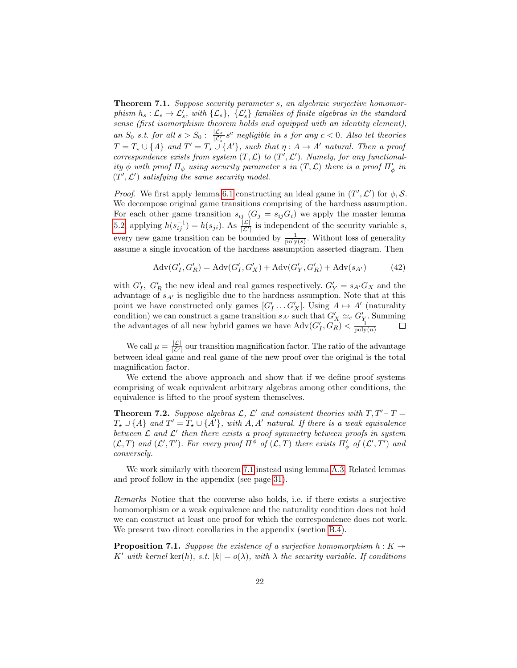Theorem 7.1. Suppose security parameter s, an algebraic surjective homomorphism  $h_s: \mathcal{L}_s \to \mathcal{L}'_s$ , with  $\{\mathcal{L}_s\}$ ,  $\{\mathcal{L}'_s\}$  families of finite algebras in the standard sense (first isomorphism theorem holds and equipped with an identity element), an  $S_0$  s.t. for all  $s > S_0$ :  $\frac{|\mathcal{L}_s|}{|\mathcal{L}'_s|} s^c$  negligible in s for any  $c < 0$ . Also let theories  $T = T_{\star} \cup \{A\}$  and  $T' = T_{\star} \cup \{A'\}$ , such that  $\eta : A \to A'$  natural. Then a proof correspondence exists from system  $(T, \mathcal{L})$  to  $(T', \mathcal{L}')$ . Namely, for any functionality  $\phi$  with proof  $\Pi_{\phi}$  using security parameter s in  $(T, \mathcal{L})$  there is a proof  $\Pi'_{\phi}$  in  $(T', \mathcal{L}')$  satisfying the same security model.

*Proof.* We first apply lemma [6.1](#page-19-1) constructing an ideal game in  $(T', \mathcal{L}')$  for  $\phi$ , S. We decompose original game transitions comprising of the hardness assumption. For each other game transition  $s_{ij}$   $(G_j = s_{ij}G_i)$  we apply the master lemma [5.2,](#page-17-0) applying  $h(s_{ij}^{-1}) = h(s_{ji})$ . As  $\frac{|\mathcal{L}|}{|\mathcal{L}'|}$  is independent of the security variable s, every new game transition can be bounded by  $\frac{1}{\text{poly}(s)}$ . Without loss of generality assume a single invocation of the hardness assumption asserted diagram. Then

$$
Adv(G'_{I}, G'_{R}) = Adv(G'_{I}, G'_{X}) + Adv(G'_{Y}, G'_{R}) + Adv(s_{A'})
$$
\n(42)

with  $G'_{I}$ ,  $G'_{R}$  the new ideal and real games respectively.  $G'_{Y} = s_{A'}G_{X}$  and the advantage of  $s_{A'}$  is negligible due to the hardness assumption. Note that at this point we have constructed only games  $[G'_I \dots G'_X]$ . Using  $A \mapsto A'$  (naturality condition) we can construct a game transition  $s_{A'}$  such that  $G'_X \simeq_c G'_Y$ . Summing the advantages of all new hybrid games we have  $\text{Adv}(G'_I, G_R) < \frac{1}{\text{poly}(n)}$ 

We call  $\mu = \frac{|\mathcal{L}|}{|\mathcal{L}'|}$  our transition magnification factor. The ratio of the advantage between ideal game and real game of the new proof over the original is the total magnification factor.

<span id="page-21-0"></span>We extend the above approach and show that if we define proof systems comprising of weak equivalent arbitrary algebras among other conditions, the equivalence is lifted to the proof system themselves.

**Theorem 7.2.** Suppose algebras  $\mathcal{L}$ ,  $\mathcal{L}'$  and consistent theories with  $T, T'-T =$  $T_{\star} \cup \{A\}$  and  $T' = T_{\star} \cup \{A'\}$ , with  $A, A'$  natural. If there is a weak equivalence between  $\mathcal L$  and  $\mathcal L'$  then there exists a proof symmetry between proofs in system  $(\mathcal{L},T)$  and  $(\mathcal{L}',T')$ . For every proof  $\Pi^{\phi}$  of  $(\mathcal{L},T)$  there exists  $\Pi'_{\phi}$  of  $(\mathcal{L}',T')$  and conversely.

We work similarly with theorem [7.1](#page-20-0) instead using lemma [A.3.](#page-31-0) Related lemmas and proof follow in the appendix (see page [31\)](#page-30-0).

Remarks Notice that the converse also holds, i.e. if there exists a surjective homomorphism or a weak equivalence and the naturality condition does not hold we can construct at least one proof for which the correspondence does not work. We present two direct corollaries in the appendix (section [B.4\)](#page-35-0).

**Proposition 7.1.** Suppose the existence of a surjective homomorphism  $h: K \rightarrow$ K' with kernel ker(h), s.t.  $|k| = o(\lambda)$ , with  $\lambda$  the security variable. If conditions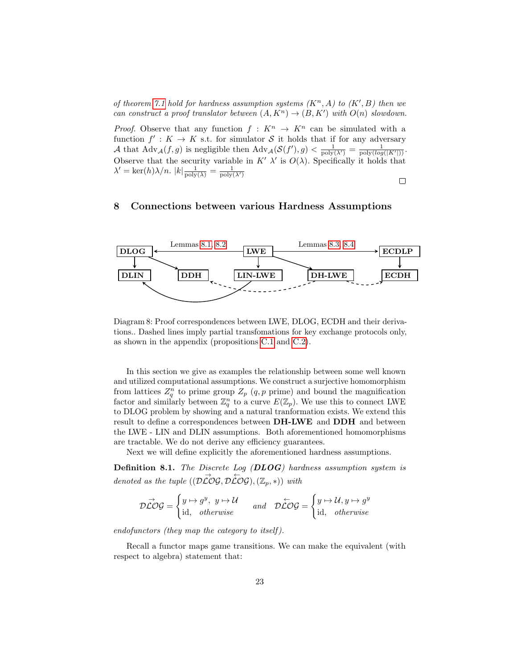of theorem [7.1](#page-20-0) hold for hardness assumption systems  $(K<sup>n</sup>, A)$  to  $(K', B)$  then we can construct a proof translator between  $(A, K^n) \to (B, K')$  with  $O(n)$  slowdown.

*Proof.* Observe that any function  $f: K^n \to K^n$  can be simulated with a function  $f' : K \to K$  s.t. for simulator S it holds that if for any adversary A that  $\text{Adv}_{\mathcal{A}}(f,g)$  is negligible then  $\text{Adv}_{\mathcal{A}}(\mathcal{S}(f'), g) < \frac{1}{\text{poly}(N')} = \frac{1}{\text{poly}(log(|K'|))}$ . Observe that the security variable in  $K'$   $\lambda'$  is  $O(\lambda)$ . Specifically it holds that  $\lambda' = \ker(h)\lambda/n.$   $|k| \frac{1}{\text{poly}(\lambda)} = \frac{1}{\text{poly}(\lambda')}$ 

 $\Box$ 

# 8 Connections between various Hardness Assumptions



Diagram 8: Proof correspondences between LWE, DLOG, ECDH and their derivations.. Dashed lines imply partial transfomations for key exchange protocols only, as shown in the appendix (propositions [C.1](#page-36-0) and [C.2\)](#page-36-1).

In this section we give as examples the relationship between some well known and utilized computational assumptions. We construct a surjective homomorphism from lattices  $Z_q^n$  to prime group  $Z_p$  (q, p prime) and bound the magnification factor and similarly between  $\mathbb{Z}_q^n$  to a curve  $E(\mathbb{Z}_p)$ . We use this to connect LWE to DLOG problem by showing and a natural tranformation exists. We extend this result to define a correspondences between DH-LWE and DDH and between the LWE - LIN and DLIN assumptions. Both aforementioned homomorphisms are tractable. We do not derive any efficiency guarantees.

Next we will define explicitly the aforementioned hardness assumptions.

Definition 8.1. The Discrete Log (DLOG) hardness assumption system is denoted as the tuple  $((\overrightarrow{DCOG}, \overrightarrow{DCOG}), (\mathbb{Z}_p, *) )$  with

$$
\mathcal{D}\vec{\mathcal{L}}\mathcal{O}\mathcal{G} = \begin{cases} y \mapsto g^y, \ y \mapsto \mathcal{U} \\ \text{id}, \quad otherwise \end{cases} \quad and \quad \mathcal{D}\vec{\mathcal{L}}\mathcal{O}\mathcal{G} = \begin{cases} y \mapsto \mathcal{U}, y \mapsto g^y \\ \text{id}, \quad otherwise \end{cases}
$$

endofunctors (they map the category to itself ).

Recall a functor maps game transitions. We can make the equivalent (with respect to algebra) statement that: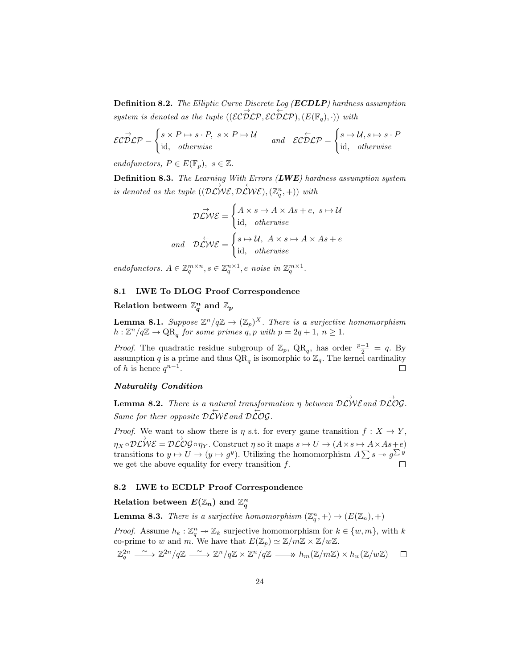Definition 8.2. The Elliptic Curve Discrete Log (ECDLP) hardness assumption system is denoted as the tuple  $((\mathcal{EC} \overrightarrow{D} \mathcal{LP}, \mathcal{EC} \overleftarrow{D} \mathcal{LP}), (E(\mathbb{F}_q), .))$  with

$$
\mathcal{EC} \overrightarrow{D} \mathcal{LP} = \begin{cases} s \times P \mapsto s \cdot P, & s \times P \mapsto \mathcal{U} \\ \text{id}, & \text{otherwise} \end{cases} \quad \text{and} \quad \mathcal{EC} \overleftarrow{D} \mathcal{LP} = \begin{cases} s \mapsto \mathcal{U}, s \mapsto s \cdot P \\ \text{id}, & \text{otherwise} \end{cases}
$$

endofunctors,  $P \in E(\mathbb{F}_p)$ ,  $s \in \mathbb{Z}$ .

**Definition 8.3.** The Learning With Errors  $(LWE)$  hardness assumption system is denoted as the tuple  $(\overrightarrow{D\mathcal{L}W\mathcal{E}}, \overrightarrow{D\mathcal{L}W\mathcal{E}}), (\mathbb{Z}_q^n, +))$  with

$$
\mathcal{D}\vec{\mathcal{L}}\mathcal{W}\mathcal{E} = \begin{cases} A \times s \mapsto A \times As + e, \ s \mapsto \mathcal{U} \\ \text{id}, \quad \text{otherwise} \end{cases}
$$
  
and 
$$
\mathcal{D}\vec{\mathcal{L}}\mathcal{W}\mathcal{E} = \begin{cases} s \mapsto \mathcal{U}, \ A \times s \mapsto A \times As + e \\ \text{id}, \quad \text{otherwise} \end{cases}
$$

endofunctors.  $A \in \mathbb{Z}_q^{m \times n}, s \in \mathbb{Z}_q^{n \times 1}, e$  noise in  $\mathbb{Z}_q^{m \times 1}$ .

# 8.1 LWE To DLOG Proof Correspondence

# Relation between  $\mathbb{Z}_q^n$  and  $\mathbb{Z}_p$

<span id="page-23-0"></span>**Lemma 8.1.** Suppose  $\mathbb{Z}^n/q\mathbb{Z} \to (\mathbb{Z}_p)^X$ . There is a surjective homomorphism  $h: \mathbb{Z}^n/q\mathbb{Z} \to \mathrm{QR}_q$  for some primes  $q, p$  with  $p = 2q + 1, n \geq 1$ .

*Proof.* The quadratic residue subgroup of  $\mathbb{Z}_p$ , QR<sub>q</sub>, has order  $\frac{p-1}{2} = q$ . By assumption q is a prime and thus  $\overline{QR}_q$  is isomorphic to  $\mathbb{Z}_q$ . The kernel cardinality of h is hence  $q^{n-1}$ . П

# Naturality Condition

<span id="page-23-1"></span>**Lemma 8.2.** There is a natural transformation  $\eta$  between  $\overrightarrow{D\mathcal{L}}\mathcal{W}\mathcal{E}$  and  $\overrightarrow{D\mathcal{L}}\mathcal{O}\mathcal{G}$ . Same for their opposite  $\mathcal{D}\overset{\leftarrow}{\mathcal{L}}\mathcal{W}\mathcal{E}$  and  $\mathcal{D}\overset{\leftarrow}{\mathcal{L}}\mathcal{O}\mathcal{G}$ .

*Proof.* We want to show there is  $\eta$  s.t. for every game transition  $f: X \to Y$ ,  $\overrightarrow{\eta_X} \circ \overrightarrow{\mathcal{D}\mathcal{L}}\mathcal{W}\mathcal{E} = \mathcal{D}\overrightarrow{\mathcal{L}}\mathcal{O}\mathcal{G} \circ \eta_Y.$  Construct  $\eta$  so it maps  $s \mapsto U \to (A \times s \mapsto A \times As + e)$ transitions to  $y \mapsto U \to (y \mapsto g^y)$ . Utilizing the homomorphism  $A \sum s \to g^{\sum y^y}$ we get the above equality for every transition  $f$ .

#### 8.2 LWE to ECDLP Proof Correspondence

# Relation between  $E(\mathbb{Z}_{n})$  and  $\mathbb{Z}_{q}^{n}$

<span id="page-23-2"></span>**Lemma 8.3.** There is a surjective homomorphism  $(\mathbb{Z}_q^n, +) \to (E(\mathbb{Z}_n), +)$ 

*Proof.* Assume  $h_k : \mathbb{Z}_q^n \to \mathbb{Z}_k$  surjective homomorphism for  $k \in \{w, m\}$ , with k co-prime to w and m. We have that  $E(\mathbb{Z}_p) \simeq \mathbb{Z}/m\mathbb{Z} \times \mathbb{Z}/w\mathbb{Z}$ .

$$
\mathbb{Z}_q^{2n} \xrightarrow{\ \sim \ } \mathbb{Z}^{2n}/q\mathbb{Z} \xrightarrow{\ \sim \ } \mathbb{Z}^n/q\mathbb{Z} \times \mathbb{Z}^n/q\mathbb{Z} \xrightarrow{\ \ } h_m(\mathbb{Z}/m\mathbb{Z}) \times h_w(\mathbb{Z}/w\mathbb{Z}) \quad \Box
$$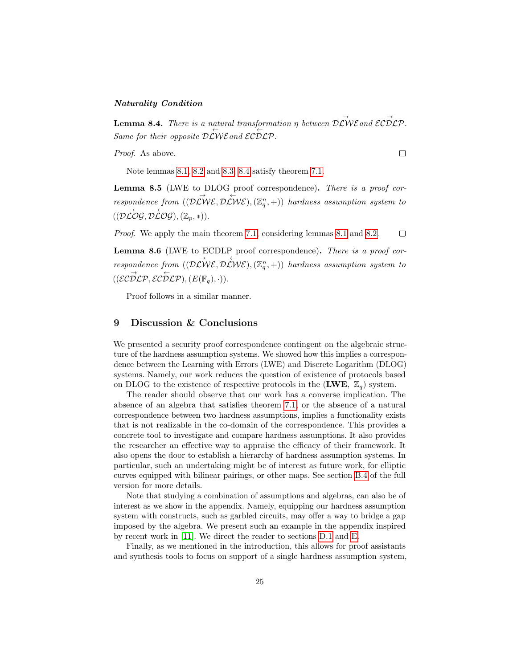## Naturality Condition

<span id="page-24-0"></span>**Lemma 8.4.** There is a natural transformation  $\eta$  between  $\stackrel{\rightarrow}{D\mathcal{L}}\stackrel{\rightarrow}{W}\mathcal{E}$  and  $\mathcal{ECDLP}$ . Same for their opposite  $\mathcal{DLWE}$  and  $\mathcal{ELDEP}$ .

Proof. As above.

 $\Box$ 

Note lemmas [8.1,](#page-23-0) [8.2](#page-23-1) and [8.3,](#page-23-2) [8.4](#page-24-0) satisfy theorem [7.1.](#page-20-0)

Lemma 8.5 (LWE to DLOG proof correspondence). There is a proof correspondence from  $((\overrightarrow{D\mathcal{L}}\mathcal{W}\mathcal{E}, \overrightarrow{D\mathcal{L}}\mathcal{W}\mathcal{E}), (\mathbb{Z}_q^n, +))$  hardness assumption system to  $((\mathcal{D}\overset{\rightarrow}{\mathcal{L}}\mathcal{O}\mathcal{G}, \mathcal{D}\overset{\leftarrow}{\mathcal{L}}\mathcal{O}\mathcal{G}), (\mathbb{Z}_p, *)).$ 

Proof. We apply the main theorem [7.1,](#page-20-0) considering lemmas [8.1](#page-23-0) and [8.2.](#page-23-1)  $\Box$ 

Lemma 8.6 (LWE to ECDLP proof correspondence). There is a proof correspondence from  $((\overrightarrow{D\mathcal{L}}\mathcal{W}\mathcal{E}, \overrightarrow{D\mathcal{L}}\mathcal{W}\mathcal{E}), (\mathbb{Z}_q^n, +))$  hardness assumption system to  $((\mathcal{EC} \overrightarrow{\mathcal{D}} \mathcal{LP}, \mathcal{EC} \overleftarrow{\mathcal{D}} \mathcal{LP}), (E(\mathbb{F}_q), \cdot)).$ 

Proof follows in a similar manner.

# 9 Discussion & Conclusions

We presented a security proof correspondence contingent on the algebraic structure of the hardness assumption systems. We showed how this implies a correspondence between the Learning with Errors (LWE) and Discrete Logarithm (DLOG) systems. Namely, our work reduces the question of existence of protocols based on DLOG to the existence of respective protocols in the  $(LWE, \mathbb{Z}_q)$  system.

The reader should observe that our work has a converse implication. The absence of an algebra that satisfies theorem [7.1,](#page-20-0) or the absence of a natural correspondence between two hardness assumptions, implies a functionality exists that is not realizable in the co-domain of the correspondence. This provides a concrete tool to investigate and compare hardness assumptions. It also provides the researcher an effective way to appraise the efficacy of their framework. It also opens the door to establish a hierarchy of hardness assumption systems. In particular, such an undertaking might be of interest as future work, for elliptic curves equipped with bilinear pairings, or other maps. See section [B.4](#page-35-0) of the full version for more details.

Note that studying a combination of assumptions and algebras, can also be of interest as we show in the appendix. Namely, equipping our hardness assumption system with constructs, such as garbled circuits, may offer a way to bridge a gap imposed by the algebra. We present such an example in the appendix inspired by recent work in [\[11\]](#page-27-8). We direct the reader to sections [D.1](#page-42-0) and [E.](#page-46-0)

Finally, as we mentioned in the introduction, this allows for proof assistants and synthesis tools to focus on support of a single hardness assumption system,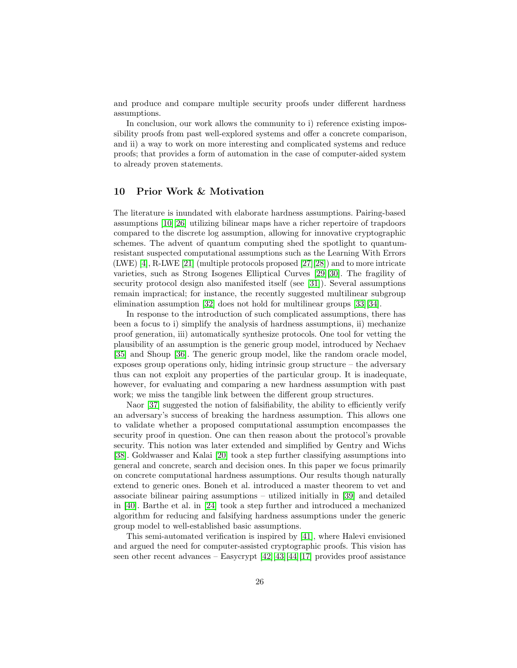and produce and compare multiple security proofs under different hardness assumptions.

In conclusion, our work allows the community to i) reference existing impossibility proofs from past well-explored systems and offer a concrete comparison, and ii) a way to work on more interesting and complicated systems and reduce proofs; that provides a form of automation in the case of computer-aided system to already proven statements.

# <span id="page-25-0"></span>10 Prior Work & Motivation

The literature is inundated with elaborate hardness assumptions. Pairing-based assumptions [\[10\]](#page-27-7)[\[26\]](#page-28-1) utilizing bilinear maps have a richer repertoire of trapdoors compared to the discrete log assumption, allowing for innovative cryptographic schemes. The advent of quantum computing shed the spotlight to quantumresistant suspected computational assumptions such as the Learning With Errors (LWE) [\[4\]](#page-27-1), R-LWE [\[21\]](#page-27-18) (multiple protocols proposed [\[27\]](#page-28-2)[\[28\]](#page-28-3)) and to more intricate varieties, such as Strong Isogenes Elliptical Curves [\[29\]](#page-28-4)[\[30\]](#page-28-5). The fragility of security protocol design also manifested itself (see [\[31\]](#page-28-6)). Several assumptions remain impractical; for instance, the recently suggested multilinear subgroup elimination assumption [\[32\]](#page-28-7) does not hold for multilinear groups [\[33\]](#page-28-8)[\[34\]](#page-28-9).

In response to the introduction of such complicated assumptions, there has been a focus to i) simplify the analysis of hardness assumptions, ii) mechanize proof generation, iii) automatically synthesize protocols. One tool for vetting the plausibility of an assumption is the generic group model, introduced by Nechaev [\[35\]](#page-28-10) and Shoup [\[36\]](#page-28-11). The generic group model, like the random oracle model, exposes group operations only, hiding intrinsic group structure – the adversary thus can not exploit any properties of the particular group. It is inadequate, however, for evaluating and comparing a new hardness assumption with past work; we miss the tangible link between the different group structures.

Naor [\[37\]](#page-28-12) suggested the notion of falsifiability, the ability to efficiently verify an adversary's success of breaking the hardness assumption. This allows one to validate whether a proposed computational assumption encompasses the security proof in question. One can then reason about the protocol's provable security. This notion was later extended and simplified by Gentry and Wichs [\[38\]](#page-28-13). Goldwasser and Kalai [\[20\]](#page-27-17) took a step further classifying assumptions into general and concrete, search and decision ones. In this paper we focus primarily on concrete computational hardness assumptions. Our results though naturally extend to generic ones. Boneh et al. introduced a master theorem to vet and associate bilinear pairing assumptions – utilized initially in [\[39\]](#page-28-14) and detailed in [\[40\]](#page-28-15). Barthe et al. in [\[24\]](#page-27-21) took a step further and introduced a mechanized algorithm for reducing and falsifying hardness assumptions under the generic group model to well-established basic assumptions.

This semi-automated verification is inspired by [\[41\]](#page-28-16), where Halevi envisioned and argued the need for computer-assisted cryptographic proofs. This vision has seen other recent advances – Easycrypt [\[42\]](#page-28-17)[\[43\]](#page-28-18)[\[44\]](#page-29-0)[\[17\]](#page-27-14) provides proof assistance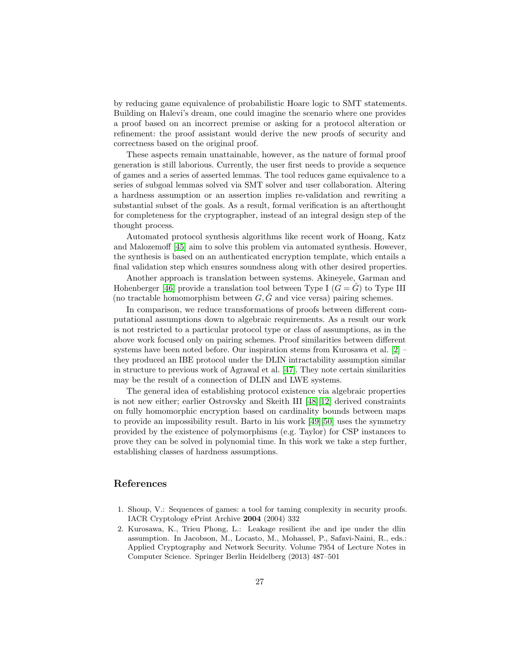by reducing game equivalence of probabilistic Hoare logic to SMT statements. Building on Halevi's dream, one could imagine the scenario where one provides a proof based on an incorrect premise or asking for a protocol alteration or refinement: the proof assistant would derive the new proofs of security and correctness based on the original proof.

These aspects remain unattainable, however, as the nature of formal proof generation is still laborious. Currently, the user first needs to provide a sequence of games and a series of asserted lemmas. The tool reduces game equivalence to a series of subgoal lemmas solved via SMT solver and user collaboration. Altering a hardness assumption or an assertion implies re-validation and rewriting a substantial subset of the goals. As a result, formal verification is an afterthought for completeness for the cryptographer, instead of an integral design step of the thought process.

Automated protocol synthesis algorithms like recent work of Hoang, Katz and Malozemoff [\[45\]](#page-29-1) aim to solve this problem via automated synthesis. However, the synthesis is based on an authenticated encryption template, which entails a final validation step which ensures soundness along with other desired properties.

Another approach is translation between systems. Akineyele, Garman and Hohenberger [\[46\]](#page-29-2) provide a translation tool between Type I  $(G = \hat{G})$  to Type III (no tractable homomorphism between  $G, \tilde{G}$  and vice versa) pairing schemes.

In comparison, we reduce transformations of proofs between different computational assumptions down to algebraic requirements. As a result our work is not restricted to a particular protocol type or class of assumptions, as in the above work focused only on pairing schemes. Proof similarities between different systems have been noted before. Our inspiration stems from Kurosawa et al. [\[2\]](#page-26-1) – they produced an IBE protocol under the DLIN intractability assumption similar in structure to previous work of Agrawal et al. [\[47\]](#page-29-3). They note certain similarities may be the result of a connection of DLIN and LWE systems.

The general idea of establishing protocol existence via algebraic properties is not new either; earlier Ostrovsky and Skeith III [\[48\]](#page-29-4)[\[12\]](#page-27-9) derived constraints on fully homomorphic encryption based on cardinality bounds between maps to provide an impossibility result. Barto in his work [\[49\]](#page-29-5)[\[50\]](#page-29-6) uses the symmetry provided by the existence of polymorphisms (e.g. Taylor) for CSP instances to prove they can be solved in polynomial time. In this work we take a step further, establishing classes of hardness assumptions.

# References

- <span id="page-26-0"></span>1. Shoup, V.: Sequences of games: a tool for taming complexity in security proofs. IACR Cryptology ePrint Archive 2004 (2004) 332
- <span id="page-26-1"></span>2. Kurosawa, K., Trieu Phong, L.: Leakage resilient ibe and ipe under the dlin assumption. In Jacobson, M., Locasto, M., Mohassel, P., Safavi-Naini, R., eds.: Applied Cryptography and Network Security. Volume 7954 of Lecture Notes in Computer Science. Springer Berlin Heidelberg (2013) 487–501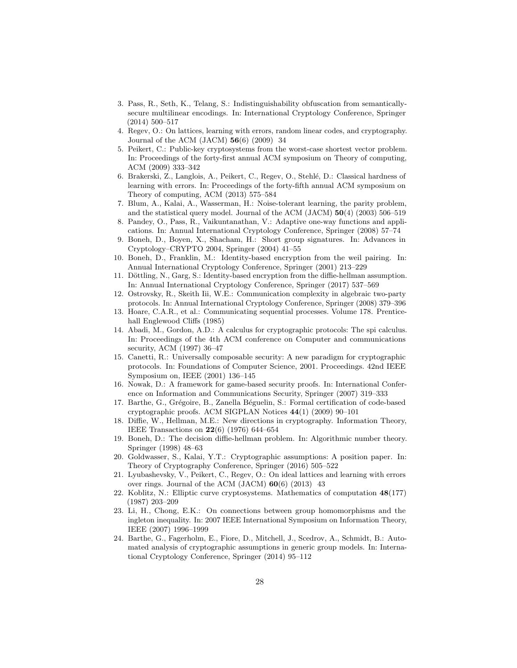- <span id="page-27-0"></span>3. Pass, R., Seth, K., Telang, S.: Indistinguishability obfuscation from semanticallysecure multilinear encodings. In: International Cryptology Conference, Springer (2014) 500–517
- <span id="page-27-1"></span>4. Regev, O.: On lattices, learning with errors, random linear codes, and cryptography. Journal of the ACM (JACM)  $56(6)$  (2009) 34
- <span id="page-27-2"></span>5. Peikert, C.: Public-key cryptosystems from the worst-case shortest vector problem. In: Proceedings of the forty-first annual ACM symposium on Theory of computing, ACM (2009) 333–342
- <span id="page-27-3"></span>6. Brakerski, Z., Langlois, A., Peikert, C., Regev, O., Stehlé, D.: Classical hardness of learning with errors. In: Proceedings of the forty-fifth annual ACM symposium on Theory of computing, ACM (2013) 575–584
- <span id="page-27-4"></span>7. Blum, A., Kalai, A., Wasserman, H.: Noise-tolerant learning, the parity problem, and the statistical query model. Journal of the ACM (JACM)  $50(4)$  (2003) 506–519
- <span id="page-27-5"></span>8. Pandey, O., Pass, R., Vaikuntanathan, V.: Adaptive one-way functions and applications. In: Annual International Cryptology Conference, Springer (2008) 57–74
- <span id="page-27-6"></span>9. Boneh, D., Boyen, X., Shacham, H.: Short group signatures. In: Advances in Cryptology–CRYPTO 2004, Springer (2004) 41–55
- <span id="page-27-7"></span>10. Boneh, D., Franklin, M.: Identity-based encryption from the weil pairing. In: Annual International Cryptology Conference, Springer (2001) 213–229
- <span id="page-27-8"></span>11. Döttling, N., Garg, S.: Identity-based encryption from the diffie-hellman assumption. In: Annual International Cryptology Conference, Springer (2017) 537–569
- <span id="page-27-9"></span>12. Ostrovsky, R., Skeith Iii, W.E.: Communication complexity in algebraic two-party protocols. In: Annual International Cryptology Conference, Springer (2008) 379–396
- <span id="page-27-10"></span>13. Hoare, C.A.R., et al.: Communicating sequential processes. Volume 178. Prenticehall Englewood Cliffs (1985)
- <span id="page-27-11"></span>14. Abadi, M., Gordon, A.D.: A calculus for cryptographic protocols: The spi calculus. In: Proceedings of the 4th ACM conference on Computer and communications security, ACM (1997) 36–47
- <span id="page-27-12"></span>15. Canetti, R.: Universally composable security: A new paradigm for cryptographic protocols. In: Foundations of Computer Science, 2001. Proceedings. 42nd IEEE Symposium on, IEEE (2001) 136–145
- <span id="page-27-13"></span>16. Nowak, D.: A framework for game-based security proofs. In: International Conference on Information and Communications Security, Springer (2007) 319–333
- <span id="page-27-14"></span>17. Barthe, G., Grégoire, B., Zanella Béguelin, S.: Formal certification of code-based cryptographic proofs. ACM SIGPLAN Notices 44(1) (2009) 90–101
- <span id="page-27-15"></span>18. Diffie, W., Hellman, M.E.: New directions in cryptography. Information Theory, IEEE Transactions on 22(6) (1976) 644–654
- <span id="page-27-16"></span>19. Boneh, D.: The decision diffie-hellman problem. In: Algorithmic number theory. Springer (1998) 48–63
- <span id="page-27-17"></span>20. Goldwasser, S., Kalai, Y.T.: Cryptographic assumptions: A position paper. In: Theory of Cryptography Conference, Springer (2016) 505–522
- <span id="page-27-18"></span>21. Lyubashevsky, V., Peikert, C., Regev, O.: On ideal lattices and learning with errors over rings. Journal of the ACM  $(JACM)$  60(6) (2013) 43
- <span id="page-27-19"></span>22. Koblitz, N.: Elliptic curve cryptosystems. Mathematics of computation 48(177) (1987) 203–209
- <span id="page-27-20"></span>23. Li, H., Chong, E.K.: On connections between group homomorphisms and the ingleton inequality. In: 2007 IEEE International Symposium on Information Theory, IEEE (2007) 1996–1999
- <span id="page-27-21"></span>24. Barthe, G., Fagerholm, E., Fiore, D., Mitchell, J., Scedrov, A., Schmidt, B.: Automated analysis of cryptographic assumptions in generic group models. In: International Cryptology Conference, Springer (2014) 95–112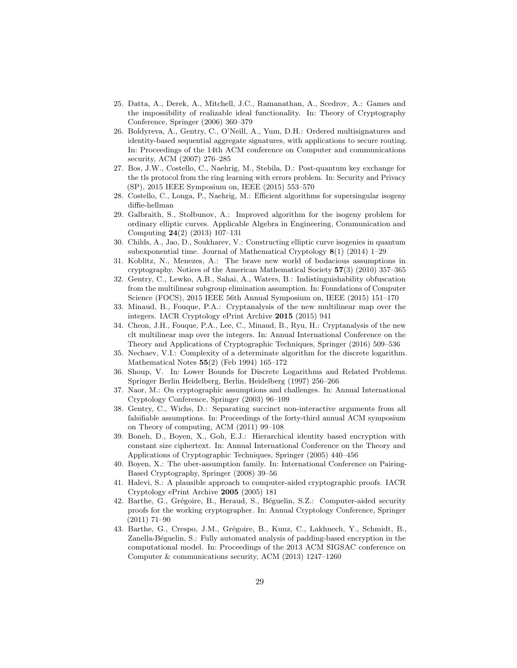- <span id="page-28-0"></span>25. Datta, A., Derek, A., Mitchell, J.C., Ramanathan, A., Scedrov, A.: Games and the impossibility of realizable ideal functionality. In: Theory of Cryptography Conference, Springer (2006) 360–379
- <span id="page-28-1"></span>26. Boldyreva, A., Gentry, C., O'Neill, A., Yum, D.H.: Ordered multisignatures and identity-based sequential aggregate signatures, with applications to secure routing. In: Proceedings of the 14th ACM conference on Computer and communications security, ACM (2007) 276–285
- <span id="page-28-2"></span>27. Bos, J.W., Costello, C., Naehrig, M., Stebila, D.: Post-quantum key exchange for the tls protocol from the ring learning with errors problem. In: Security and Privacy (SP), 2015 IEEE Symposium on, IEEE (2015) 553–570
- <span id="page-28-3"></span>28. Costello, C., Longa, P., Naehrig, M.: Efficient algorithms for supersingular isogeny diffie-hellman
- <span id="page-28-4"></span>29. Galbraith, S., Stolbunov, A.: Improved algorithm for the isogeny problem for ordinary elliptic curves. Applicable Algebra in Engineering, Communication and Computing 24(2) (2013) 107–131
- <span id="page-28-5"></span>30. Childs, A., Jao, D., Soukharev, V.: Constructing elliptic curve isogenies in quantum subexponential time. Journal of Mathematical Cryptology  $8(1)$  (2014) 1–29
- <span id="page-28-6"></span>31. Koblitz, N., Menezes, A.: The brave new world of bodacious assumptions in cryptography. Notices of the American Mathematical Society 57(3) (2010) 357–365
- <span id="page-28-7"></span>32. Gentry, C., Lewko, A.B., Sahai, A., Waters, B.: Indistinguishability obfuscation from the multilinear subgroup elimination assumption. In: Foundations of Computer Science (FOCS), 2015 IEEE 56th Annual Symposium on, IEEE (2015) 151–170
- <span id="page-28-8"></span>33. Minaud, B., Fouque, P.A.: Cryptanalysis of the new multilinear map over the integers. IACR Cryptology ePrint Archive 2015 (2015) 941
- <span id="page-28-9"></span>34. Cheon, J.H., Fouque, P.A., Lee, C., Minaud, B., Ryu, H.: Cryptanalysis of the new clt multilinear map over the integers. In: Annual International Conference on the Theory and Applications of Cryptographic Techniques, Springer (2016) 509–536
- <span id="page-28-10"></span>35. Nechaev, V.I.: Complexity of a determinate algorithm for the discrete logarithm. Mathematical Notes 55(2) (Feb 1994) 165–172
- <span id="page-28-11"></span>36. Shoup, V. In: Lower Bounds for Discrete Logarithms and Related Problems. Springer Berlin Heidelberg, Berlin, Heidelberg (1997) 256–266
- <span id="page-28-12"></span>37. Naor, M.: On cryptographic assumptions and challenges. In: Annual International Cryptology Conference, Springer (2003) 96–109
- <span id="page-28-13"></span>38. Gentry, C., Wichs, D.: Separating succinct non-interactive arguments from all falsifiable assumptions. In: Proceedings of the forty-third annual ACM symposium on Theory of computing, ACM (2011) 99–108
- <span id="page-28-14"></span>39. Boneh, D., Boyen, X., Goh, E.J.: Hierarchical identity based encryption with constant size ciphertext. In: Annual International Conference on the Theory and Applications of Cryptographic Techniques, Springer (2005) 440–456
- <span id="page-28-15"></span>40. Boyen, X.: The uber-assumption family. In: International Conference on Pairing-Based Cryptography, Springer (2008) 39–56
- <span id="page-28-16"></span>41. Halevi, S.: A plausible approach to computer-aided cryptographic proofs. IACR Cryptology ePrint Archive 2005 (2005) 181
- <span id="page-28-17"></span>42. Barthe, G., Grégoire, B., Heraud, S., Béguelin, S.Z.: Computer-aided security proofs for the working cryptographer. In: Annual Cryptology Conference, Springer (2011) 71–90
- <span id="page-28-18"></span>43. Barthe, G., Crespo, J.M., Grégoire, B., Kunz, C., Lakhnech, Y., Schmidt, B., Zanella-Béguelin, S.: Fully automated analysis of padding-based encryption in the computational model. In: Proceedings of the 2013 ACM SIGSAC conference on Computer & communications security, ACM (2013) 1247–1260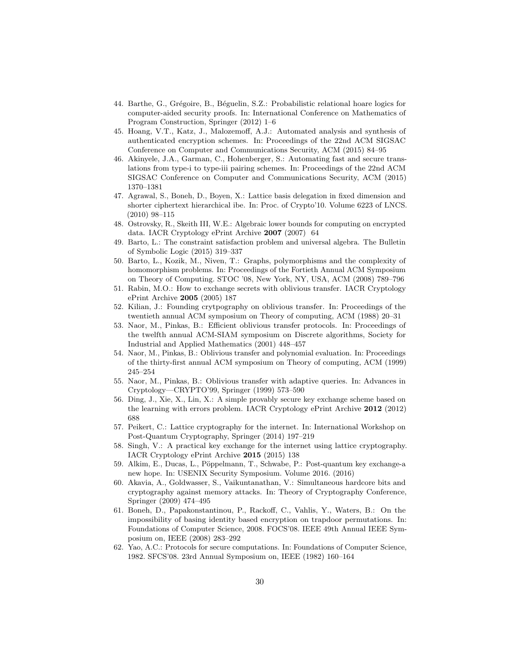- <span id="page-29-0"></span>44. Barthe, G., Grégoire, B., Béguelin, S.Z.: Probabilistic relational hoare logics for computer-aided security proofs. In: International Conference on Mathematics of Program Construction, Springer (2012) 1–6
- <span id="page-29-1"></span>45. Hoang, V.T., Katz, J., Malozemoff, A.J.: Automated analysis and synthesis of authenticated encryption schemes. In: Proceedings of the 22nd ACM SIGSAC Conference on Computer and Communications Security, ACM (2015) 84–95
- <span id="page-29-2"></span>46. Akinyele, J.A., Garman, C., Hohenberger, S.: Automating fast and secure translations from type-i to type-iii pairing schemes. In: Proceedings of the 22nd ACM SIGSAC Conference on Computer and Communications Security, ACM (2015) 1370–1381
- <span id="page-29-3"></span>47. Agrawal, S., Boneh, D., Boyen, X.: Lattice basis delegation in fixed dimension and shorter ciphertext hierarchical ibe. In: Proc. of Crypto'10. Volume 6223 of LNCS. (2010) 98–115
- <span id="page-29-4"></span>48. Ostrovsky, R., Skeith III, W.E.: Algebraic lower bounds for computing on encrypted data. IACR Cryptology ePrint Archive 2007 (2007) 64
- <span id="page-29-5"></span>49. Barto, L.: The constraint satisfaction problem and universal algebra. The Bulletin of Symbolic Logic (2015) 319–337
- <span id="page-29-6"></span>50. Barto, L., Kozik, M., Niven, T.: Graphs, polymorphisms and the complexity of homomorphism problems. In: Proceedings of the Fortieth Annual ACM Symposium on Theory of Computing. STOC '08, New York, NY, USA, ACM (2008) 789–796
- <span id="page-29-7"></span>51. Rabin, M.O.: How to exchange secrets with oblivious transfer. IACR Cryptology ePrint Archive 2005 (2005) 187
- <span id="page-29-8"></span>52. Kilian, J.: Founding crytpography on oblivious transfer. In: Proceedings of the twentieth annual ACM symposium on Theory of computing, ACM (1988) 20–31
- <span id="page-29-9"></span>53. Naor, M., Pinkas, B.: Efficient oblivious transfer protocols. In: Proceedings of the twelfth annual ACM-SIAM symposium on Discrete algorithms, Society for Industrial and Applied Mathematics (2001) 448–457
- <span id="page-29-10"></span>54. Naor, M., Pinkas, B.: Oblivious transfer and polynomial evaluation. In: Proceedings of the thirty-first annual ACM symposium on Theory of computing, ACM (1999) 245–254
- <span id="page-29-11"></span>55. Naor, M., Pinkas, B.: Oblivious transfer with adaptive queries. In: Advances in Cryptology—CRYPTO'99, Springer (1999) 573–590
- <span id="page-29-12"></span>56. Ding, J., Xie, X., Lin, X.: A simple provably secure key exchange scheme based on the learning with errors problem. IACR Cryptology ePrint Archive 2012 (2012) 688
- <span id="page-29-13"></span>57. Peikert, C.: Lattice cryptography for the internet. In: International Workshop on Post-Quantum Cryptography, Springer (2014) 197–219
- <span id="page-29-14"></span>58. Singh, V.: A practical key exchange for the internet using lattice cryptography. IACR Cryptology ePrint Archive 2015 (2015) 138
- <span id="page-29-15"></span>59. Alkim, E., Ducas, L., Pöppelmann, T., Schwabe, P.: Post-quantum key exchange-a new hope. In: USENIX Security Symposium. Volume 2016. (2016)
- <span id="page-29-16"></span>60. Akavia, A., Goldwasser, S., Vaikuntanathan, V.: Simultaneous hardcore bits and cryptography against memory attacks. In: Theory of Cryptography Conference, Springer (2009) 474–495
- <span id="page-29-17"></span>61. Boneh, D., Papakonstantinou, P., Rackoff, C., Vahlis, Y., Waters, B.: On the impossibility of basing identity based encryption on trapdoor permutations. In: Foundations of Computer Science, 2008. FOCS'08. IEEE 49th Annual IEEE Symposium on, IEEE (2008) 283–292
- <span id="page-29-18"></span>62. Yao, A.C.: Protocols for secure computations. In: Foundations of Computer Science, 1982. SFCS'08. 23rd Annual Symposium on, IEEE (1982) 160–164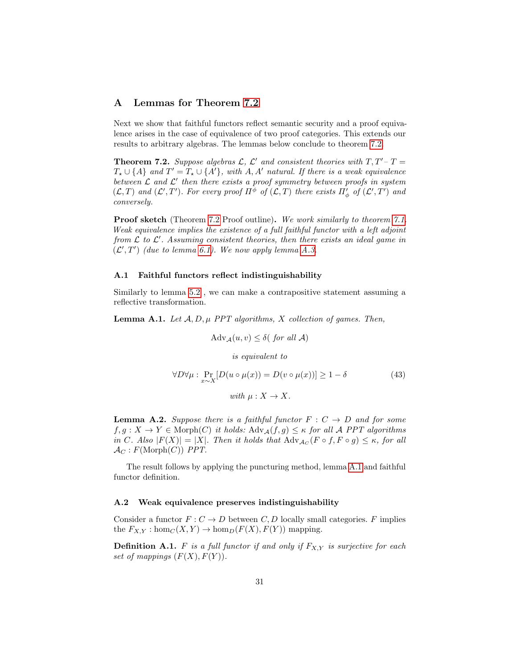# <span id="page-30-0"></span>A Lemmas for Theorem [7.2](#page-21-0)

Next we show that faithful functors reflect semantic security and a proof equivalence arises in the case of equivalence of two proof categories. This extends our results to arbitrary algebras. The lemmas below conclude to theorem [7.2.](#page-21-0)

**Theorem 7.2.** Suppose algebras  $\mathcal{L}$ ,  $\mathcal{L}'$  and consistent theories with  $T, T'-T=$  $T_{\star} \cup \{A\}$  and  $T' = T_{\star} \cup \{A'\}$ , with  $A, A'$  natural. If there is a weak equivalence between  $\mathcal L$  and  $\mathcal L'$  then there exists a proof symmetry between proofs in system  $(\mathcal{L},T)$  and  $(\mathcal{L}',T')$ . For every proof  $\Pi^{\phi}$  of  $(\mathcal{L},T)$  there exists  $\Pi'_{\phi}$  of  $(\mathcal{L}',T')$  and conversely.

**Proof sketch** (Theorem [7.2](#page-21-0) Proof outline). We work similarly to theorem [7.1.](#page-20-0) Weak equivalence implies the existence of a full faithful functor with a left adjoint from  $\mathcal L$  to  $\mathcal L'$ . Assuming consistent theories, then there exists an ideal game in  $(\mathcal{L}', T')$  (due to lemma [6.1\)](#page-19-1). We now apply lemma [A.3.](#page-31-0)

#### A.1 Faithful functors reflect indistinguishability

Similarly to lemma [5.2](#page-17-0) , we can make a contrapositive statement assuming a reflective transformation.

<span id="page-30-1"></span>**Lemma A.1.** Let  $A, D, \mu$  PPT algorithms, X collection of games. Then,

$$
Adv_{\mathcal{A}}(u, v) \le \delta(\text{ for all } \mathcal{A})
$$
  
is equivalent to  

$$
\forall D \forall \mu : \Pr_{x \sim X} [D(u \circ \mu(x)) = D(v \circ \mu(x))] \ge 1 - \delta
$$
 (43)  
with  $\mu : X \to X$ .

<span id="page-30-2"></span>**Lemma A.2.** Suppose there is a faithful functor  $F : C \rightarrow D$  and for some  $f, g: X \to Y \in \text{Morph}(C)$  it holds:  $\text{Adv}_{\mathcal{A}}(f, g) \leq \kappa$  for all A PPT algorithms in C. Also  $|F(X)| = |X|$ . Then it holds that  $\text{Adv}_{\mathcal{A}_C}(F \circ f, F \circ g) \leq \kappa$ , for all  $\mathcal{A}_C$ :  $F(\text{Morph}(C))$  PPT.

The result follows by applying the puncturing method, lemma [A.1](#page-30-1) and faithful functor definition.

#### A.2 Weak equivalence preserves indistinguishability

Consider a functor  $F: C \to D$  between C, D locally small categories. F implies the  $F_{X,Y}$ : hom $_C(X, Y) \to \text{hom}_D(F(X), F(Y))$  mapping.

**Definition A.1.** F is a full functor if and only if  $F_{X,Y}$  is surjective for each set of mappings  $(F(X), F(Y))$ .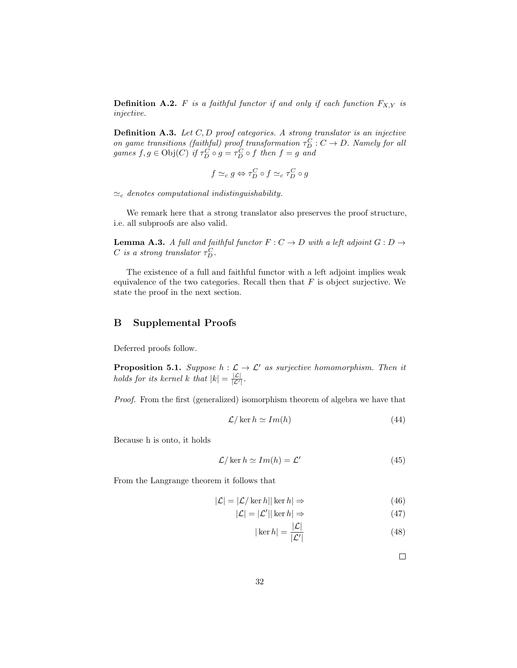**Definition A.2.** F is a faithful functor if and only if each function  $F_{X,Y}$  is injective.

**Definition A.3.** Let  $C, D$  proof categories. A strong translator is an injective on game transitions (faithful) proof transformation  $\tau_D^C : C \to D$ . Namely for all games  $f, g \in \text{Obj}(C)$  if  $\tau_D^C \circ g = \tau_D^C \circ f$  then  $f = g$  and

$$
f \simeq_c g \Leftrightarrow \tau_D^C \circ f \simeq_c \tau_D^C \circ g
$$

 $\simeq_c$  denotes computational indistinguishability.

We remark here that a strong translator also preserves the proof structure, i.e. all subproofs are also valid.

<span id="page-31-0"></span>**Lemma A.3.** A full and faithful functor  $F: C \rightarrow D$  with a left adjoint  $G: D \rightarrow$ C is a strong translator  $\tau_D^C$ .

The existence of a full and faithful functor with a left adjoint implies weak equivalence of the two categories. Recall then that  $F$  is object surjective. We state the proof in the next section.

# B Supplemental Proofs

<span id="page-31-1"></span>Deferred proofs follow.

**Proposition 5.1.** Suppose  $h : \mathcal{L} \to \mathcal{L}'$  as surjective homomorphism. Then it holds for its kernel k that  $|k| = \frac{|\mathcal{L}|}{|\mathcal{L}'|}$ .

Proof. From the first (generalized) isomorphism theorem of algebra we have that

$$
\mathcal{L}/\ker h \simeq Im(h) \tag{44}
$$

Because h is onto, it holds

$$
\mathcal{L}/\ker h \simeq Im(h) = \mathcal{L}' \tag{45}
$$

From the Langrange theorem it follows that

$$
|\mathcal{L}| = |\mathcal{L}/\ker h||\ker h| \Rightarrow \tag{46}
$$

$$
|\mathcal{L}| = |\mathcal{L}'| |\ker h| \Rightarrow \tag{47}
$$

$$
|\ker h| = \frac{|\mathcal{L}|}{|\mathcal{L}'|} \tag{48}
$$

 $\Box$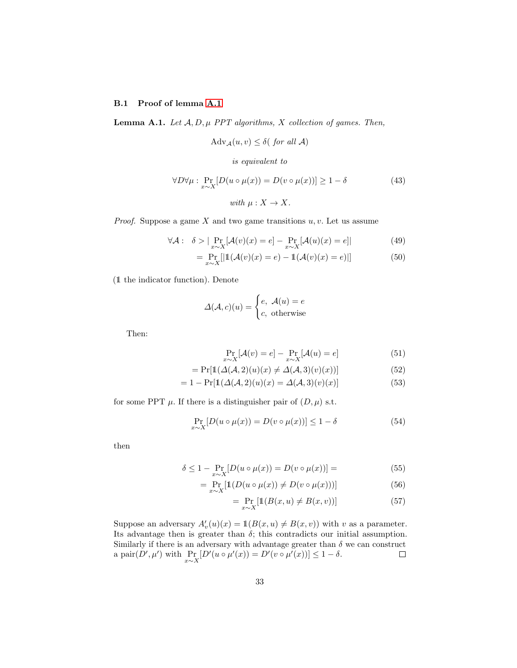# B.1 Proof of lemma [A.1](#page-30-1)

**Lemma A.1.** Let  $A, D, \mu$  PPT algorithms, X collection of games. Then,

$$
Adv_{\mathcal{A}}(u, v) \le \delta(\text{ for all } \mathcal{A})
$$

is equivalent to

$$
\forall D \forall \mu : \Pr_{x \sim X} [D(u \circ \mu(x)) = D(v \circ \mu(x))] \ge 1 - \delta
$$
 (43)  
with  $\mu : X \to X$ .

*Proof.* Suppose a game  $X$  and two game transitions  $u, v$ . Let us assume

$$
\forall \mathcal{A}: \delta > |\Pr_{x \sim X}[\mathcal{A}(v)(x) = e] - \Pr_{x \sim X}[\mathcal{A}(u)(x) = e]| \tag{49}
$$

$$
= \Pr_{x \sim X} [|\mathbb{1}(\mathcal{A}(v)(x) = e) - \mathbb{1}(\mathcal{A}(v)(x) = e)|]
$$
(50)

(1 the indicator function). Denote

$$
\Delta(\mathcal{A}, c)(u) = \begin{cases} e, & \mathcal{A}(u) = e \\ c, & \text{otherwise} \end{cases}
$$

Then:

$$
\Pr_{x \sim X}[\mathcal{A}(v) = e] - \Pr_{x \sim X}[\mathcal{A}(u) = e]
$$
\n(51)

$$
= \Pr[\mathbb{1}(\Delta(\mathcal{A}, 2)(u)(x) \neq \Delta(\mathcal{A}, 3)(v)(x))]
$$
(52)

$$
= 1 - \Pr[\mathbb{1}(\Delta(\mathcal{A}, 2)(u)(x) = \Delta(\mathcal{A}, 3)(v)(x)] \tag{53}
$$

for some PPT  $\mu$ . If there is a distinguisher pair of  $(D, \mu)$  s.t.

$$
\Pr_{x \sim X} [D(u \circ \mu(x)) = D(v \circ \mu(x))] \le 1 - \delta \tag{54}
$$

then

$$
\delta \le 1 - \Pr_{x \sim X} [D(u \circ \mu(x)) = D(v \circ \mu(x))] = \tag{55}
$$

$$
= \Pr_{x \sim X} [\mathbb{1}(D(u \circ \mu(x)) \neq D(v \circ \mu(x)))] \tag{56}
$$

$$
= \Pr_{x \sim X} [\mathbb{1}(B(x, u) \neq B(x, v))]
$$
\n(57)

Suppose an adversary  $A'_v(u)(x) = \mathbb{1}(B(x, u) \neq B(x, v))$  with v as a parameter. Its advantage then is greater than  $\delta$ ; this contradicts our initial assumption. Similarly if there is an adversary with advantage greater than  $\delta$  we can construct a pair $(D', \mu')$  with  $\Pr_{x \sim X}[D'(u \circ \mu'(x))] = D'(v \circ \mu'(x))] \leq 1 - \delta.$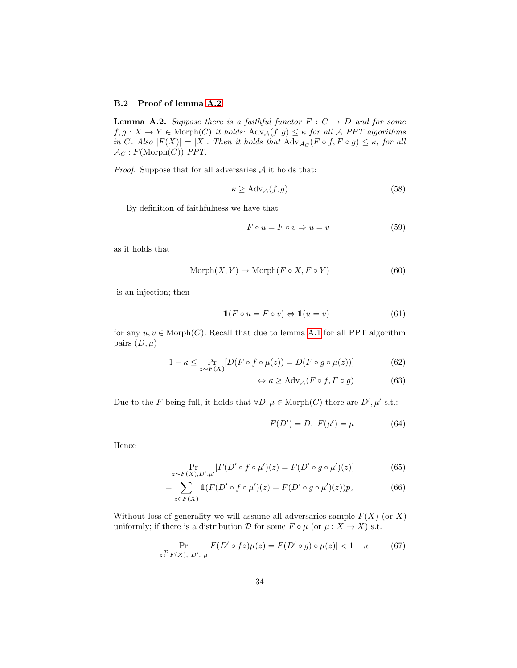# B.2 Proof of lemma [A.2](#page-30-2)

**Lemma A.2.** Suppose there is a faithful functor  $F : C \rightarrow D$  and for some  $f, g: X \to Y \in \text{Morph}(C)$  it holds:  $\text{Adv}_{\mathcal{A}}(f, g) \leq \kappa$  for all A PPT algorithms in C. Also  $|F(X)| = |X|$ . Then it holds that  $\text{Adv}_{\mathcal{A}_C}(F \circ f, F \circ g) \leq \kappa$ , for all  $\mathcal{A}_C$ :  $F(\text{Morph}(C))$  PPT.

*Proof.* Suppose that for all adversaries  $A$  it holds that:

$$
\kappa \ge \text{Adv}_{\mathcal{A}}(f, g) \tag{58}
$$

By definition of faithfulness we have that

$$
F \circ u = F \circ v \Rightarrow u = v \tag{59}
$$

as it holds that

$$
Morph(X, Y) \to Morph(F \circ X, F \circ Y)
$$
\n(60)

is an injection; then

$$
\mathbb{1}(F \circ u = F \circ v) \Leftrightarrow \mathbb{1}(u = v) \tag{61}
$$

for any  $u, v \in \text{Morph}(C)$ . Recall that due to lemma [A.1](#page-30-1) for all PPT algorithm pairs  $(D, \mu)$ 

$$
1 - \kappa \le \Pr_{z \sim F(X)}[D(F \circ f \circ \mu(z)) = D(F \circ g \circ \mu(z))]
$$
(62)

<span id="page-33-0"></span>
$$
\Leftrightarrow \kappa \ge \text{Adv}_{\mathcal{A}}(F \circ f, F \circ g) \tag{63}
$$

Due to the F being full, it holds that  $\forall D, \mu \in \text{Morph}(C)$  there are  $D', \mu'$  s.t.:

$$
F(D') = D, F(\mu') = \mu \tag{64}
$$

Hence

$$
\Pr_{z \sim F(X), D', \mu'} [F(D' \circ f \circ \mu')(z) = F(D' \circ g \circ \mu')(z)] \tag{65}
$$

$$
= \sum_{z \in F(X)} \mathbb{1}(F(D' \circ f \circ \mu')(z) = F(D' \circ g \circ \mu')(z))p_z \tag{66}
$$

Without loss of generality we will assume all adversaries sample  $F(X)$  (or X) uniformly; if there is a distribution  $D$  for some  $F \circ \mu$  (or  $\mu : X \to X$ ) s.t.

$$
\Pr_{z \stackrel{\mathcal{D}}{\sim} F(X), D', \mu} [F(D' \circ f \circ) \mu(z) = F(D' \circ g) \circ \mu(z)] < 1 - \kappa \tag{67}
$$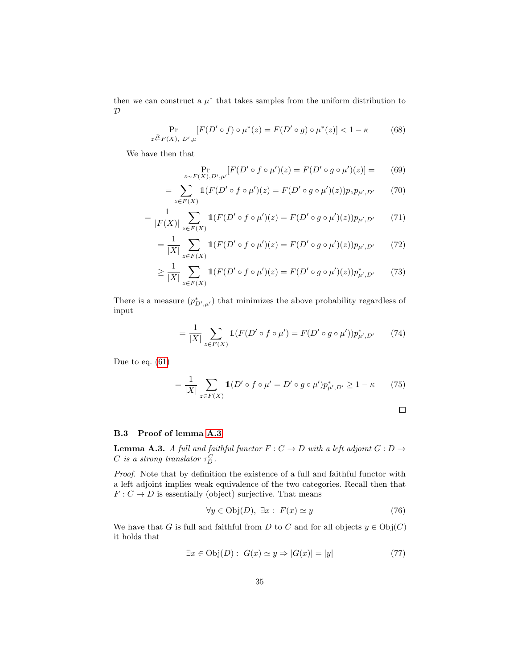then we can construct a  $\mu^*$  that takes samples from the uniform distribution to  ${\cal D}$ 

$$
\Pr_{z \stackrel{R}{\leftarrow} F(X), D', \mu} [F(D' \circ f) \circ \mu^*(z) = F(D' \circ g) \circ \mu^*(z)] < 1 - \kappa \tag{68}
$$

We have then that

$$
\Pr_{z \sim F(X), D', \mu'} [F(D' \circ f \circ \mu')(z) = F(D' \circ g \circ \mu')(z)] = (69)
$$

$$
= \sum_{z \in F(X)} \mathbb{1}(F(D' \circ f \circ \mu')(z) = F(D' \circ g \circ \mu')(z))p_zp_{\mu',D'} \tag{70}
$$

$$
= \frac{1}{|F(X)|} \sum_{z \in F(X)} \mathbb{1}(F(D' \circ f \circ \mu')(z) = F(D' \circ g \circ \mu')(z)) p_{\mu',D'} \tag{71}
$$

$$
= \frac{1}{|X|} \sum_{z \in F(X)} \mathbb{1}(F(D' \circ f \circ \mu')(z) = F(D' \circ g \circ \mu')(z)) p_{\mu',D'} \tag{72}
$$

$$
\geq \frac{1}{|X|} \sum_{z \in F(X)} \mathbb{1}(F(D' \circ f \circ \mu')(z) = F(D' \circ g \circ \mu')(z)) p_{\mu',D'}^* \tag{73}
$$

There is a measure  $(p_{D',\mu'}^*)$  that minimizes the above probability regardless of input

$$
= \frac{1}{|X|} \sum_{z \in F(X)} \mathbb{1}(F(D' \circ f \circ \mu') = F(D' \circ g \circ \mu'))p^*_{\mu',D'} \tag{74}
$$

Due to eq. [\(61\)](#page-33-0)

$$
= \frac{1}{|X|} \sum_{z \in F(X)} \mathbb{1}(D' \circ f \circ \mu' = D' \circ g \circ \mu') p_{\mu', D'}^* \ge 1 - \kappa \tag{75}
$$

$$
\qquad \qquad \Box
$$

## B.3 Proof of lemma [A.3](#page-31-0)

**Lemma A.3.** A full and faithful functor  $F: C \rightarrow D$  with a left adjoint  $G: D \rightarrow$ C is a strong translator  $\tau_D^C$ .

Proof. Note that by definition the existence of a full and faithful functor with a left adjoint implies weak equivalence of the two categories. Recall then that  $F: C \to D$  is essentially (object) surjective. That means

$$
\forall y \in \text{Obj}(D), \exists x : F(x) \simeq y \tag{76}
$$

We have that G is full and faithful from D to C and for all objects  $y \in \mathrm{Obj}(C)$ it holds that

$$
\exists x \in \text{Obj}(D): \ G(x) \simeq y \Rightarrow |G(x)| = |y| \tag{77}
$$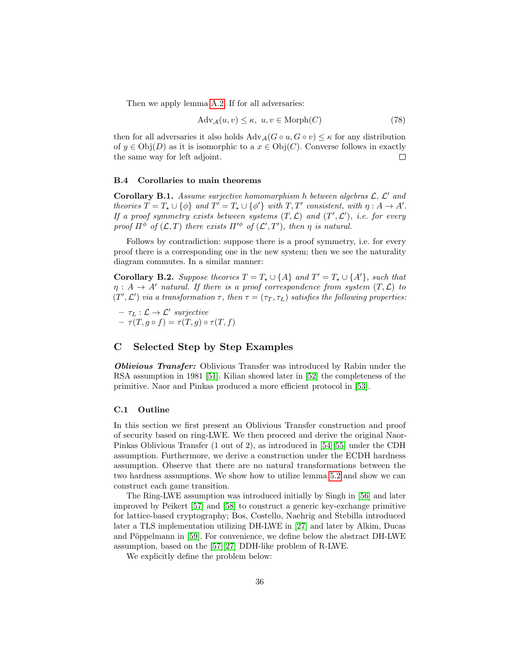Then we apply lemma [A.2.](#page-30-2) If for all adversaries:

$$
Adv_{\mathcal{A}}(u, v) \le \kappa, \ u, v \in Morph(C)
$$
\n(78)

then for all adversaries it also holds  $\text{Adv}_{\mathcal{A}}(G \circ u, G \circ v) \leq \kappa$  for any distribution of  $y \in \text{Obj}(D)$  as it is isomorphic to a  $x \in \text{Obj}(C)$ . Converse follows in exactly the same way for left adjoint.  $\Box$ 

#### <span id="page-35-0"></span>B.4 Corollaries to main theorems

Corollary B.1. Assume surjective homomorphism h between algebras  $\mathcal{L}, \mathcal{L}'$  and theories  $T = T_* \cup {\phi}$  and  $T' = T_* \cup {\phi'}$  with  $T, T'$  consistent, with  $\eta : A \to A'$ . If a proof symmetry exists between systems  $(T, \mathcal{L})$  and  $(T', \mathcal{L}')$ , i.e. for every proof  $\Pi^{\phi}$  of  $(\mathcal{L}, T)$  there exists  $\Pi'^{\phi}$  of  $(\mathcal{L}', T')$ , then  $\eta$  is natural.

Follows by contradiction: suppose there is a proof symmetry, i.e. for every proof there is a corresponding one in the new system; then we see the naturality diagram commutes. In a similar manner:

**Corollary B.2.** Suppose theories  $T = T_* \cup \{A\}$  and  $T' = T_* \cup \{A'\}$ , such that  $\eta : A \to A'$  natural. If there is a proof correspondence from system  $(T, \mathcal{L})$  to  $(T', \mathcal{L}')$  via a transformation  $\tau$ , then  $\tau = (\tau_T, \tau_L)$  satisfies the following properties:

 $\tau_L : \mathcal{L} \to \mathcal{L}'$  surjective  $- \tau(T, g \circ f) = \tau(T, g) \circ \tau(T, f)$ 

# C Selected Step by Step Examples

Oblivious Transfer: Oblivious Transfer was introduced by Rabin under the RSA assumption in 1981 [\[51\]](#page-29-7). Kilian showed later in [\[52\]](#page-29-8) the completeness of the primitive. Naor and Pinkas produced a more efficient protocol in [\[53\]](#page-29-9).

#### C.1 Outline

In this section we first present an Oblivious Transfer construction and proof of security based on ring-LWE. We then proceed and derive the original Naor-Pinkas Oblivious Transfer (1 out of 2), as introduced in [\[54\]](#page-29-10)[\[55\]](#page-29-11) under the CDH assumption. Furthermore, we derive a construction under the ECDH hardness assumption. Observe that there are no natural transformations between the two hardness assumptions. We show how to utilize lemma [5.2](#page-17-0) and show we can construct each game transition.

The Ring-LWE assumption was introduced initially by Singh in [\[56\]](#page-29-12) and later improved by Peikert [\[57\]](#page-29-13) and [\[58\]](#page-29-14) to construct a generic key-exchange primitive for lattice-based cryptography; Bos, Costello, Naehrig and Stebilla introduced later a TLS implementation utilizing DH-LWE in [\[27\]](#page-28-2) and later by Alkim, Ducas and Pöppelmann in [\[59\]](#page-29-15). For convenience, we define below the abstract DH-LWE assumption, based on the [\[57\]](#page-29-13)[\[27\]](#page-28-2) DDH-like problem of R-LWE.

We explicitly define the problem below: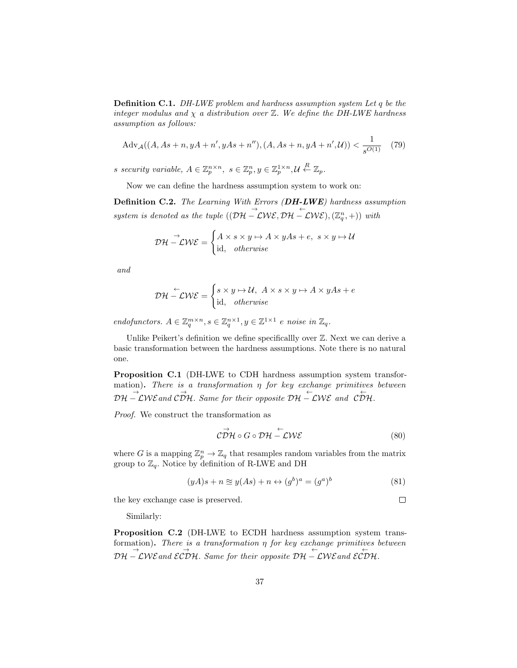**Definition C.1.** DH-LWE problem and hardness assumption system Let q be the integer modulus and  $\chi$  a distribution over  $\mathbb{Z}$ . We define the DH-LWE hardness assumption as follows:

$$
Adv_{\mathcal{A}}((A, As+n, yA+n', yAs+n''), (A, As+n, yA+n', \mathcal{U})) < \frac{1}{s^{O(1)}} \quad (79)
$$

s security variable,  $A \in \mathbb{Z}_p^{n \times n}$ ,  $s \in \mathbb{Z}_p^n$ ,  $y \in \mathbb{Z}_p^{1 \times n}$ ,  $\mathcal{U} \stackrel{R}{\leftarrow} \mathbb{Z}_p$ .

Now we can define the hardness assumption system to work on:

Definition C.2. The Learning With Errors (DH-LWE) hardness assumption system is denoted as the tuple  $((\mathcal{DH} - \mathcal{LWE}, \mathcal{DH} - \mathcal{LWE}), (\mathbb{Z}_q^n, +))$  with

$$
\mathcal{DH} \stackrel{\rightarrow}{-}\mathcal{LWE} = \begin{cases} A \times s \times y \mapsto A \times yAs + e, & s \times y \mapsto U \\ \text{id}, & otherwise \end{cases}
$$

and

$$
\mathcal{DH} \stackrel{\leftarrow}{-}\mathcal{LWE} = \begin{cases} s \times y \mapsto \mathcal{U}, & A \times s \times y \mapsto A \times yAs + e \\ \text{id}, & otherwise \end{cases}
$$

endofunctors.  $A \in \mathbb{Z}_q^{m \times n}, s \in \mathbb{Z}_q^{n \times 1}, y \in \mathbb{Z}^{1 \times 1}$  e noise in  $\mathbb{Z}_q$ .

Unlike Peikert's definition we define specificallly over  $\mathbb Z$ . Next we can derive a basic transformation between the hardness assumptions. Note there is no natural one.

<span id="page-36-0"></span>Proposition C.1 (DH-LWE to CDH hardness assumption system transformation). There is a transformation  $\eta$  for key exchange primitives between  $\overrightarrow{DH} - \overrightarrow{L}W\overrightarrow{E}$  and  $\overrightarrow{CDH}$ . Same for their opposite  $\overrightarrow{DH} - \overrightarrow{L}W\overrightarrow{E}$  and  $\overrightarrow{CDH}$ .

Proof. We construct the transformation as

$$
\vec{CDH} \circ G \circ \mathcal{DH} \stackrel{\leftarrow}{-}\mathcal{LWE} \tag{80}
$$

where G is a mapping  $\mathbb{Z}_p^n \to \mathbb{Z}_q$  that resamples random variables from the matrix group to  $\mathbb{Z}_q$ . Notice by definition of R-LWE and DH

$$
(yA)s + n \approx y(As) + n \leftrightarrow (g^b)^a = (g^a)^b \tag{81}
$$

the key exchange case is preserved.

 $\Box$ 

Similarly:

<span id="page-36-1"></span>Proposition C.2 (DH-LWE to ECDH hardness assumption system transformation). There is a transformation  $\eta$  for key exchange primitives between  $\overrightarrow{DH-CWE}$  and  $\overrightarrow{ECDH}$ . Same for their opposite  $\overrightarrow{DH-CWE}$  and  $\overleftarrow{ECDH}$ .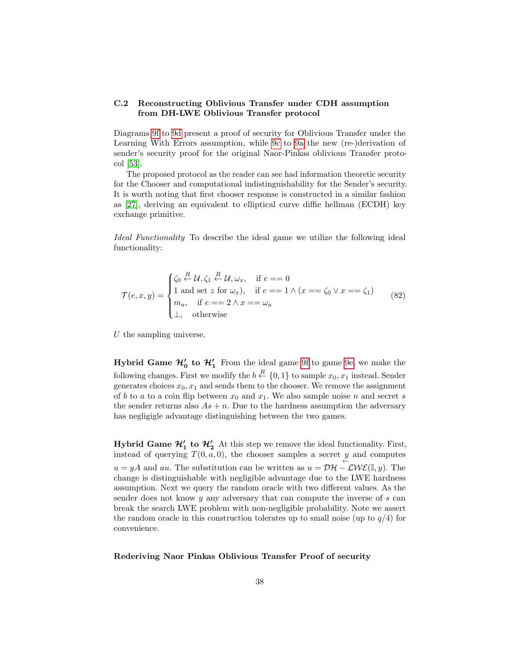# C.2 Reconstructing Oblivious Transfer under CDH assumption from DH-LWE Oblivious Transfer protocol

Diagrams [9f](#page-38-0) to [9d](#page-38-0) present a proof of security for Oblivious Transfer under the Learning With Errors assumption, while [9c](#page-38-0) to [9a](#page-38-0) the new (re-)derivation of sender's security proof for the original Naor-Pinkas oblivious Transfer protocol [\[53\]](#page-29-9).

The proposed protocol as the reader can see had information theoretic security for the Chooser and computational indistinguishability for the Sender's security. It is worth noting that first chooser response is constructed in a similar fashion as [\[27\]](#page-28-2), deriving an equivalent to elliptical curve diffie hellman (ECDH) key exchange primitive.

Ideal Functionality To describe the ideal game we utilize the following ideal functionality:

$$
\mathcal{T}(e,x,y) = \begin{cases} \zeta_0 \stackrel{R}{\leftarrow} \mathcal{U}, \zeta_1 \stackrel{R}{\leftarrow} \mathcal{U}, \omega_x, & \text{if } e == 0 \\ 1 \text{ and set } z \text{ for } \omega_x), & \text{if } e == 1 \land (x == \zeta_0 \lor x == \zeta_1) \\ m_a, & \text{if } e == 2 \land x == \omega_a \\ \perp, & \text{otherwise} \end{cases}
$$
(82)

 $U$  the sampling universe.

Hybrid Game  $\mathcal{H}'_0$  to  $\mathcal{H}'_1$  From the ideal game [9f](#page-38-0) to game [9e,](#page-38-0) we make the following changes. First we modify the  $b \stackrel{R}{\leftarrow} \{0,1\}$  to sample  $x_0, x_1$  instead. Sender generates choices  $x_0, x_1$  and sends them to the chooser. We remove the assignment of b to a to a coin flip between  $x_0$  and  $x_1$ . We also sample noise n and secret s the sender returns also  $As + n$ . Due to the hardness assumption the adversary has negligigle advantage distinguishing between the two games.

**Hybrid Game**  $\mathcal{H}'_1$  **to**  $\mathcal{H}'_2$  At this step we remove the ideal functionality. First, instead of querying  $T(0, a, 0)$ , the chooser samples a secret  $\underset{\leftarrow}{y}$  and computes  $u = yA$  and au. The substitution can be written as  $u = D\mathcal{H} - \mathcal{L}W\mathcal{E}(\mathbb{I}, y)$ . The change is distinguishable with negligible advantage due to the LWE hardness assumption. Next we query the random oracle with two different values. As the sender does not know y any adversary that can compute the inverse of s can break the search LWE problem with non-negligible probability. Note we assert the random oracle in this construction tolerates up to small noise (up to  $q/4$ ) for convenience.

Rederiving Naor Pinkas Oblivious Transfer Proof of security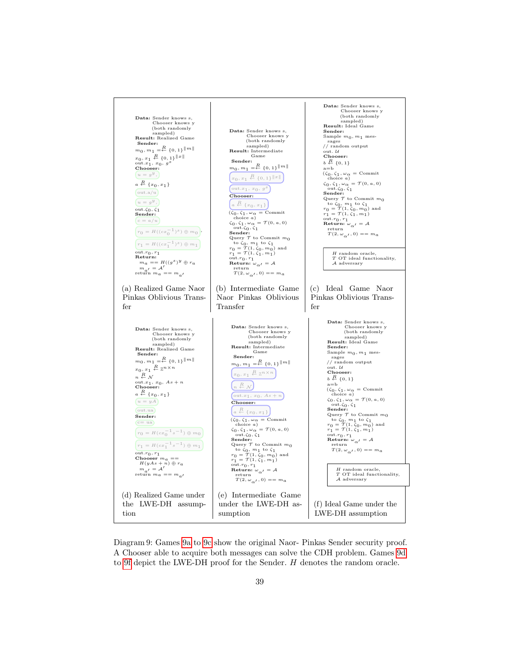<span id="page-38-0"></span>

Diagram 9: Games [9a](#page-38-0) to [9c](#page-38-0) show the original Naor- Pinkas Sender security proof. A Chooser able to acquire both messages can solve the CDH problem. Games [9d](#page-38-0) to [9f](#page-38-0) depict the LWE-DH proof for the Sender. H denotes the random oracle.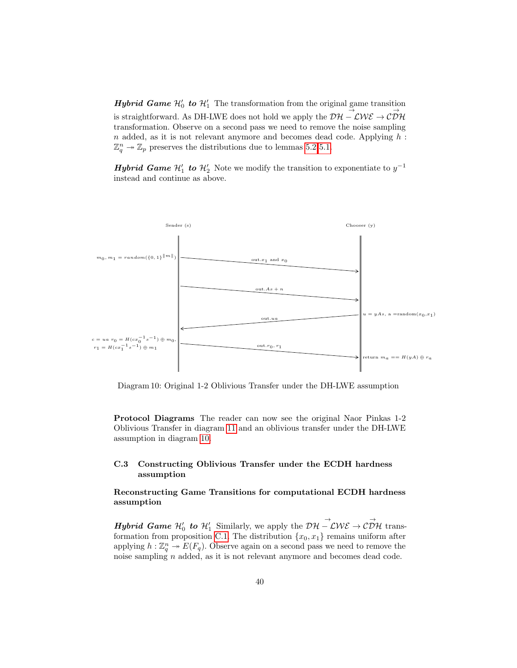**Hybrid Game**  $\mathcal{H}'_0$  to  $\mathcal{H}'_1$  The transformation from the original game transition  $\rightarrow$ is straightforward. As DH-LWE does not hold we apply the  $\mathcal{DH} - \mathcal{LWE} \rightarrow \mathcal{CDH}$ transformation. Observe on a second pass we need to remove the noise sampling  $n$  added, as it is not relevant anymore and becomes dead code. Applying  $h$ :  $\mathbb{Z}_q^n \to \mathbb{Z}_p$  preserves the distributions due to lemmas [5.2](#page-17-0) [5.1.](#page-16-0)

**Hybrid Game**  $\mathcal{H}_1'$  to  $\mathcal{H}_2'$  Note we modify the transition to exponentiate to  $y^{-1}$ instead and continue as above.

<span id="page-39-0"></span>

Diagram 10: Original 1-2 Oblivious Transfer under the DH-LWE assumption

Protocol Diagrams The reader can now see the original Naor Pinkas 1-2 Oblivious Transfer in diagram [11](#page-40-0) and an oblivious transfer under the DH-LWE assumption in diagram [10.](#page-39-0)

# C.3 Constructing Oblivious Transfer under the ECDH hardness assumption

# Reconstructing Game Transitions for computational ECDH hardness assumption

**Hybrid Game**  $\mathcal{H}'_0$  to  $\mathcal{H}'_1$  Similarly, we apply the  $\mathcal{DH}-\mathcal{LWE}\to \mathcal{CDH}$  trans-formation from proposition [C.1.](#page-36-0) The distribution  $\{x_0, x_1\}$  remains uniform after applying  $h: \mathbb{Z}_q^n \to E(F_q)$ . Observe again on a second pass we need to remove the noise sampling n added, as it is not relevant anymore and becomes dead code.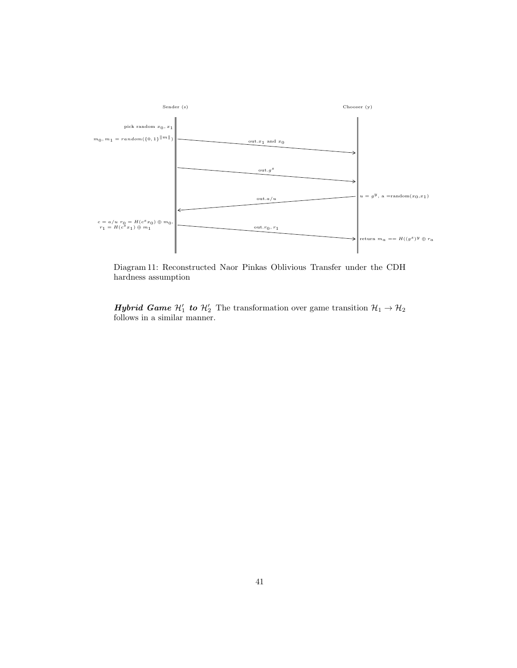<span id="page-40-0"></span>

Diagram 11: Reconstructed Naor Pinkas Oblivious Transfer under the CDH hardness assumption

**Hybrid Game**  $\mathcal{H}_1'$  to  $\mathcal{H}_2'$  The transformation over game transition  $\mathcal{H}_1 \rightarrow \mathcal{H}_2$ follows in a similar manner.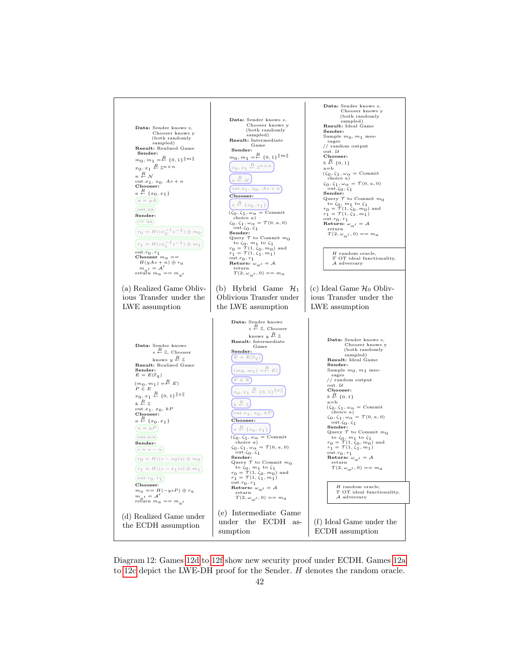<span id="page-41-0"></span>

Diagram 12: Games [12d](#page-41-0) to [12f](#page-41-0) show new security proof under ECDH. Games [12a](#page-41-0) to [12c](#page-41-0) depict the LWE-DH proof for the Sender. H denotes the random oracle.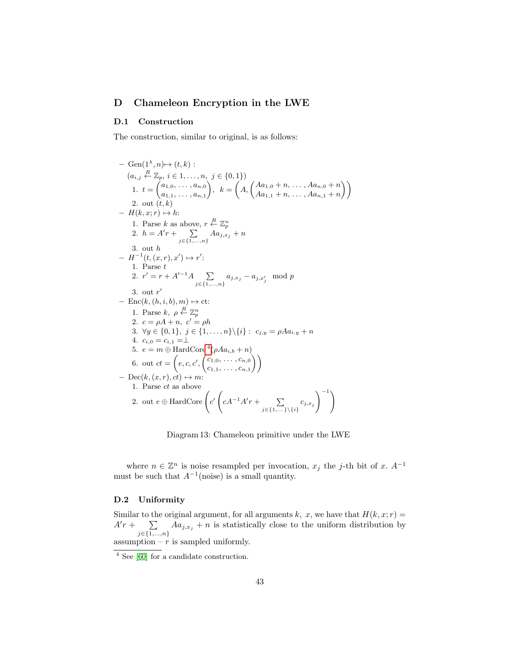# D Chameleon Encryption in the LWE

## <span id="page-42-0"></span>D.1 Construction

The construction, similar to original, is as follows:

<span id="page-42-2"></span>- Gen(1<sup>λ</sup>, n)→ (t, k):  
\n
$$
(a_{i,j} \stackrel{R}{\leftarrow} \mathbb{Z}_p, i \in 1, ..., n, j \in \{0, 1\})
$$
\n1.  $t = {a_{1,0}, ..., a_{n,0} \choose a_{1,1}, ..., a_{n,1}}, k = {A, {A_{a_{1,0}} + n, ..., A_{a_{n,0} + n} \choose A_{a_{1,1}} + n, ..., A_{a_{n,1} + n}})$ \n2. out  $(t, k)$   
\n-  $H(k, x; r) \mapsto h$ :  
\n1. Parse k as above,  $r \stackrel{R}{\leftarrow} \mathbb{Z}_p^n$   
\n2.  $h = A'r + \sum_{j \in \{1, ..., n\}} A_{a_{j,x_j}} + n$   
\n3. out h  
\n-  $H^{-1}(t, (x, r), x') \mapsto r'$ :  
\n1. Parse t  
\n2.  $r' = r + A'^{-1}A \sum_{j \in \{1, ..., n\}} a_{j,x_j} - a_{j,x'_j} \mod p$   
\n3. out  $r'$   
\n- Enc(k, (h, i, b), m)  $\mapsto$  ct:  
\n1. Parse k,  $\rho \stackrel{R}{\leftarrow} \mathbb{Z}_p^n$   
\n2.  $c = \rho A + n, c' = \rho h$   
\n3.  $\forall y \in \{0, 1\}, j \in \{1, ..., n\} \setminus \{i\} : c_{j,y} = \rho A a_{i,y} + n$   
\n4.  $c_{i,0} = c_{i,1} = \perp$   
\n5.  $e = m \oplus$  HardCore  ${}^4(\rho A a_{i,b} + n)$   
\n6. out  $ct = (e, c, c', {c_{1,0}, ..., c_{n,0}})$   
\nDec(k, (x, r), ct)  $\mapsto m$ :  
\n1. Parse c t as above  
\n2. out  $e \oplus$  HardCore  $\left(c' (cA^{-1}A'r + \sum_{j \in \{1, ..., \} \setminus \{i\}} c_{j,x_j}\right)^{-1}$ 

Diagram 13: Chameleon primitive under the LWE

where  $n \in \mathbb{Z}^n$  is noise resampled per invocation,  $x_j$  the j-th bit of x.  $A^{-1}$ must be such that  $A^{-1}$ (noise) is a small quantity.

# D.2 Uniformity

Similar to the original argument, for all arguments k, x, we have that  $H(k, x; r) =$  $A'r + \sum$  $\sum_{j \in \{1,...,n\}} A a_{j,x_j} + n$  is statistically close to the uniform distribution by assumption –  $\vec{r}$  is sampled uniformly.

<span id="page-42-1"></span> $\frac{4}{4}$  See [\[60\]](#page-29-16) for a candidate construction.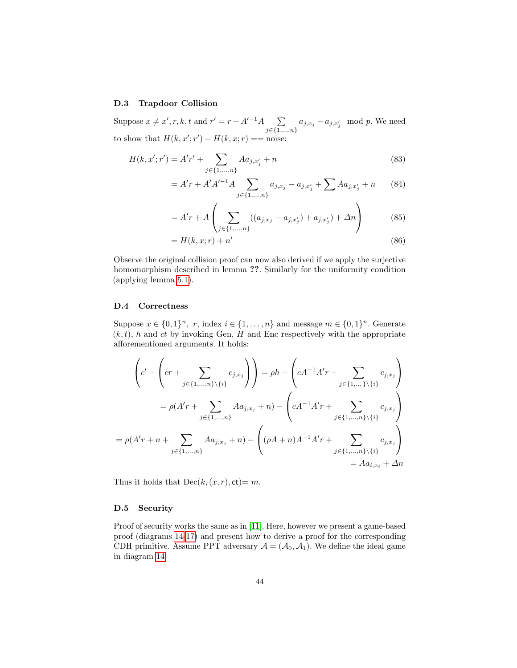#### D.3 Trapdoor Collision

Suppose  $x \neq x', r, k, t$  and  $r' = r + A'^{-1}A$   $\sum$  $\sum_{j \in \{1,...,n\}} a_{j,x_j} - a_{j,x'_j} \mod p.$  We need to show that  $H(k, x'; r') - H(k, x; r) = \text{noise:}$ 

$$
H(k, x'; r') = A'r' + \sum_{j \in \{1, ..., n\}} Aa_{j, x'_j} + n
$$
\n(83)

$$
= A'r + A'A'^{-1}A \sum_{j \in \{1, ..., n\}} a_{j,x_j} - a_{j,x'_j} + \sum A a_{j,x'_j} + n \qquad (84)
$$

$$
= A'r + A\left(\sum_{j \in \{1, ..., n\}} ((a_{j,x_j} - a_{j,x'_j}) + a_{j,x'_j}) + \Delta n\right) \tag{85}
$$

$$
=H(k,x;r)+n'\tag{86}
$$

Observe the original collision proof can now also derived if we apply the surjective homomorphism described in lemma ??. Similarly for the uniformity condition (applying lemma [5.1\)](#page-16-0).

# D.4 Correctness

Suppose  $x \in \{0,1\}^n$ , r, index  $i \in \{1,\ldots,n\}$  and message  $m \in \{0,1\}^n$ . Generate  $(k, t)$ , h and ct by invoking Gen, H and Enc respectively with the appropriate afforementioned arguments. It holds:

$$
\left(c' - \left(cr + \sum_{j \in \{1, \dots, n\} \setminus \{i\}} c_{j,x_j}\right)\right) = \rho h - \left(cA^{-1}A'r + \sum_{j \in \{1, \dots, \}\setminus \{i\}} c_{j,x_j}\right)
$$

$$
= \rho(A'r + \sum_{j \in \{1, \dots, n\}} Aa_{j,x_j} + n) - \left(cA^{-1}A'r + \sum_{j \in \{1, \dots, n\} \setminus \{i\}} c_{j,x_j}\right)
$$

$$
= \rho(A'r + n + \sum_{j \in \{1, \dots, n\}} Aa_{j,x_j} + n) - \left((\rho A + n)A^{-1}A'r + \sum_{j \in \{1, \dots, n\} \setminus \{i\}} c_{j,x_j}\right)
$$

$$
= Aa_{i,x_i} + \Delta n
$$

Thus it holds that  $Dec(k, (x, r), ct)=m$ .

## D.5 Security

Proof of security works the same as in [\[11\]](#page-27-8). Here, however we present a game-based proof (diagrams [14](#page-44-0)[-17\)](#page-46-1) and present how to derive a proof for the corresponding CDH primitive. Assume PPT adversary  $A = (A_0, A_1)$ . We define the ideal game in diagram [14.](#page-44-0)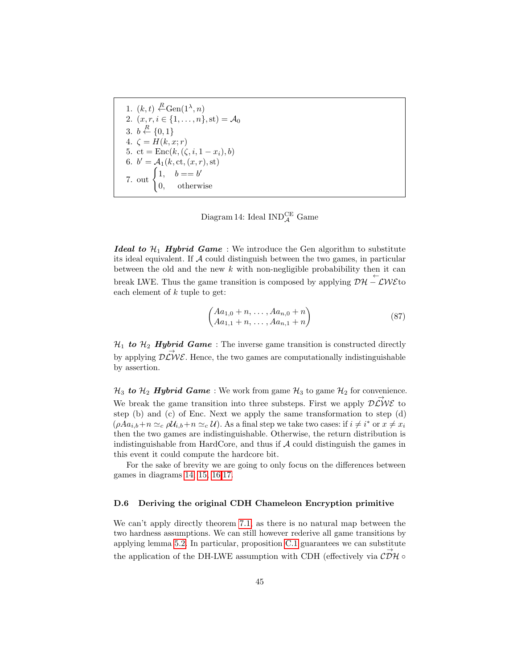<span id="page-44-0"></span>1.  $(k, t) \leftarrow R \text{Gen}(1^{\lambda}, n)$ 2.  $(x, r, i \in \{1, ..., n\}, \text{st}) = A_0$ 3.  $b \stackrel{R}{\leftarrow} \{0,1\}$ 4.  $\zeta = H(k, x; r)$ 5. ct =  $Enc(k, (\zeta, i, 1 - x_i), b)$ 6.  $b' = A_1(k, ct, (x, r), st)$ 7. out  $\begin{cases} 1, & b == b' \\ 0 & a == b' \end{cases}$ 0, otherwise

Diagram 14: Ideal  $\text{IND}_\mathcal{A}^\text{CE}$  Game

**Ideal to**  $\mathcal{H}_1$  **Hybrid Game** : We introduce the Gen algorithm to substitute its ideal equivalent. If  $A$  could distinguish between the two games, in particular between the old and the new  $k$  with non-negligible probabibility then it can break LWE. Thus the game transition is composed by applying  $\mathcal{D}\mathcal{H} - \mathcal{L}W\mathcal{E}$  to each element of  $k$  tuple to get:

$$
\begin{pmatrix} Aa_{1,0} + n, \dots, Aa_{n,0} + n \\ Aa_{1,1} + n, \dots, Aa_{n,1} + n \end{pmatrix}
$$
 (87)

 $\mathcal{H}_1$  to  $\mathcal{H}_2$  Hybrid Game: The inverse game transition is constructed directly by applying  $\overrightarrow{D\mathcal{L}}\mathcal{W}\mathcal{E}$ . Hence, the two games are computationally indistinguishable by assertion.

 $\mathcal{H}_3$  to  $\mathcal{H}_2$  Hybrid Game: We work from game  $\mathcal{H}_3$  to game  $\mathcal{H}_2$  for convenience. We break the game transition into three substeps. First we apply  $\overrightarrow{D\mathcal{L}}\mathcal{W}\mathcal{E}$  to step  $(b)$  and  $(c)$  of Enc. Next we apply the same transformation to step  $(d)$  $(\rho A a_{i,b} + n \simeq_c \rho U_{i,b} + n \simeq_c U)$ . As a final step we take two cases: if  $i \neq i^*$  or  $x \neq x_i$ then the two games are indistinguishable. Otherwise, the return distribution is indistinguishable from HardCore, and thus if  $A$  could distinguish the games in this event it could compute the hardcore bit.

For the sake of brevity we are going to only focus on the differences between games in diagrams [14,](#page-44-0) [15,](#page-45-0) [16,](#page-45-1)[17.](#page-46-1)

### D.6 Deriving the original CDH Chameleon Encryption primitive

We can't apply directly theorem [7.1,](#page-20-0) as there is no natural map between the two hardness assumptions. We can still however rederive all game transitions by applying lemma [5.2.](#page-17-0) In particular, proposition [C.1](#page-36-0) guarantees we can substitute the application of the DH-LWE assumption with CDH (effectively via  $\vec{CDH}$ )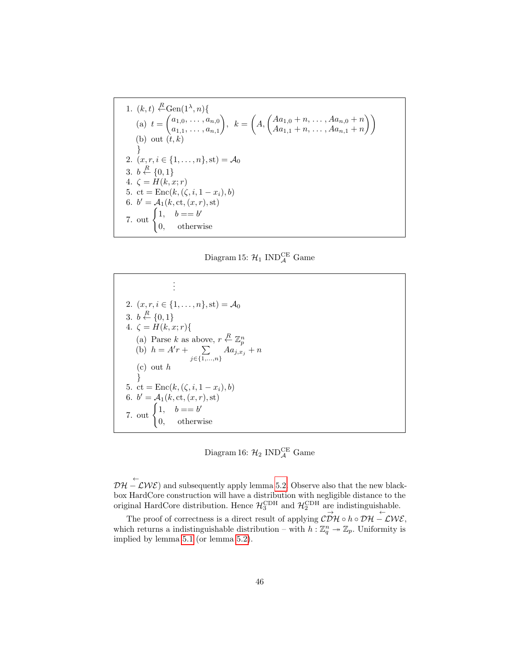<span id="page-45-0"></span>1. 
$$
(k, t) \stackrel{R}{\leftarrow} Gen(1^{\lambda}, n) \{
$$
  
\n(a)  $t = \begin{pmatrix} a_{1,0}, \dots, a_{n,0} \\ a_{1,1}, \dots, a_{n,1} \end{pmatrix}, k = \begin{pmatrix} A, \begin{pmatrix} Aa_{1,0} + n, \dots, Aa_{n,0} + n \\ Aa_{1,1} + n, \dots, Aa_{n,1} + n \end{pmatrix} \end{pmatrix}$   
\n(b) out  $(t, k)$   
\n2.  $(x, r, i \in \{1, \dots, n\}, st) = A_0$   
\n3.  $b \stackrel{R}{\leftarrow} \{0, 1\}$   
\n4.  $\zeta = H(k, x; r)$   
\n5.  $ct = Enc(k, (\zeta, i, 1 - x_i), b)$   
\n6.  $b' = A_1(k, ct, (x, r), st)$   
\n7. out  $\begin{cases} 1, & b == b' \\ 0, & \text{otherwise} \end{cases}$ 

Diagram 15:  $\mathcal{H}_1$  IND $_{\mathcal{A}}^{\mathrm{CE}}$  Game

<span id="page-45-1"></span>. . . 2.  $(x, r, i \in \{1, ..., n\}, \text{st}) = A_0$ 3.  $b \stackrel{R}{\leftarrow} \{0,1\}$ 4.  $\zeta = H(k, x; r)$ { (a) Parse k as above,  $r \leftarrow \mathbb{Z}_p^n$ <br>
(b)  $h = A'r + \sum_{\mathbf{A}a_{j,x_i}}$  $\sum_{j \in \{1,...,n\}} A a_{j,x_j} + n$ (c) out h } 5. ct =  $Enc(k, (\zeta, i, 1 - x_i), b)$ 6.  $b' = A_1(k, ct, (x, r), st)$ 7. out  $\begin{cases} 1, & b == b' \\ 0 & a == b' \end{cases}$ 0, otherwise

Diagram 16:  $\mathcal{H}_2$  IND $_{\mathcal{A}}^{\mathrm{CE}}$  Game

 $\mathcal{DH}-\mathcal{LWE}$  and subsequently apply lemma [5.2.](#page-17-0) Observe also that the new blackbox HardCore construction will have a distribution with negligible distance to the original HardCore distribution. Hence  $\mathcal{H}_3^{\rm CDH}$  and  $\mathcal{H}_2^{\rm CDH}$  are indistinguishable.

The proof of correctness is a direct result of applying  $\overrightarrow{\mathcal{CDH}} \circ h \circ \overrightarrow{\mathcal{DH}} - \overrightarrow{\mathcal{LWE}}$ , which returns a indistinguishable distribution – with  $h: \mathbb{Z}_q^n \to \mathbb{Z}_p$ . Uniformity is implied by lemma [5.1](#page-16-0) (or lemma [5.2\)](#page-17-0).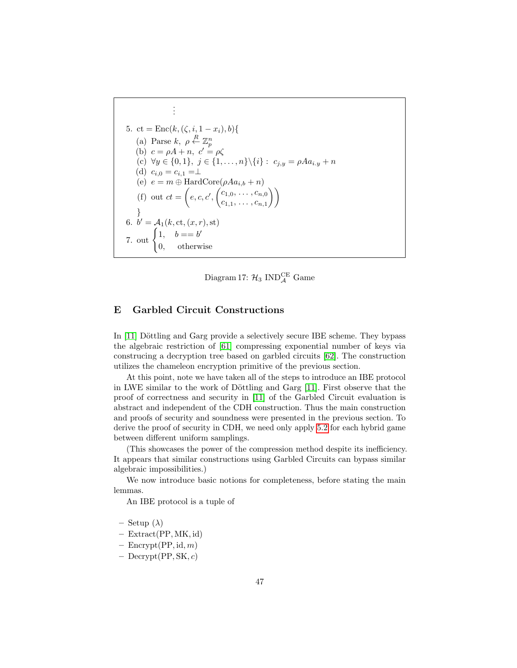<span id="page-46-1"></span>
$$
\vdots
$$
\n5. ct = Enc(k, (\zeta, i, 1 - x\_i), b) {\n6. a) Parse k,  $\rho \stackrel{R}{\leftarrow} \mathbb{Z}_p^n$   
\n7. b)  $c = \rho A + n, c' = \rho \zeta$   
\n8. c)  $\forall y \in \{0, 1\}, j \in \{1, ..., n\} \setminus \{i\} : c_{j,y} = \rho A a_{i,y} + n$   
\n9. d)  $c_{i,0} = c_{i,1} = \bot$   
\n10. e)  $e = m \oplus \text{HardCore}(\rho A a_{i,b} + n)$   
\n11. f) out  $ct = \left(e, c, c', \begin{pmatrix} c_{1,0}, \ldots, c_{n,0} \\ c_{1,1}, \ldots, c_{n,1} \end{pmatrix}\right)$   
\n12. b)  $d = \mathcal{A}_1(k, ct, (x, r), st)$   
\n13. d)  $d = b'$   
\n14. b = = b'  
\n15. d) otherwise

Diagram 17:  $\mathcal{H}_3$  IND $_{\mathcal{A}}^{\mathrm{CE}}$  Game

# <span id="page-46-0"></span>E Garbled Circuit Constructions

In  $[11]$  Döttling and Garg provide a selectively secure IBE scheme. They bypass the algebraic restriction of [\[61\]](#page-29-17) compressing exponential number of keys via construcing a decryption tree based on garbled circuits [\[62\]](#page-29-18). The construction utilizes the chameleon encryption primitive of the previous section.

At this point, note we have taken all of the steps to introduce an IBE protocol in LWE similar to the work of Döttling and Garg [\[11\]](#page-27-8). First observe that the proof of correctness and security in [\[11\]](#page-27-8) of the Garbled Circuit evaluation is abstract and independent of the CDH construction. Thus the main construction and proofs of security and soundness were presented in the previous section. To derive the proof of security in CDH, we need only apply [5.2](#page-17-0) for each hybrid game between different uniform samplings.

(This showcases the power of the compression method despite its inefficiency. It appears that similar constructions using Garbled Circuits can bypass similar algebraic impossibilities.)

We now introduce basic notions for completeness, before stating the main lemmas.

An IBE protocol is a tuple of

- Setup  $(\lambda)$
- Extract(PP, MK, id)
- $-$  Encrypt(PP, id, m)
- $-$  Decrypt(PP, SK, c)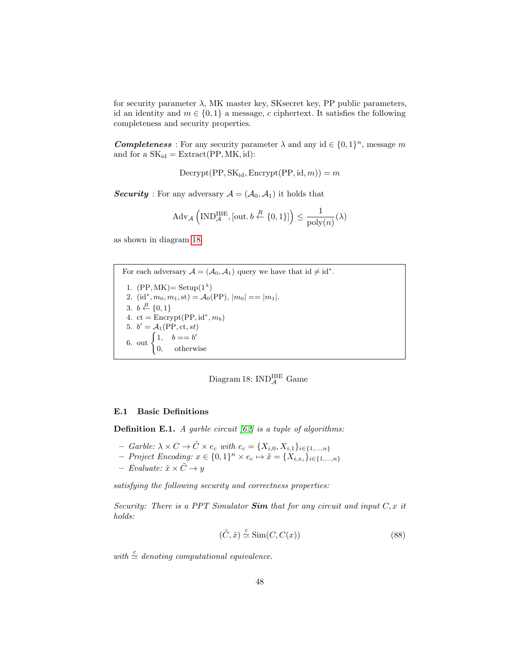for security parameter  $\lambda$ , MK master key, SKsecret key, PP public parameters, id an identity and  $m \in \{0, 1\}$  a message, c ciphertext. It satisfies the following completeness and security properties.

**Completeness** : For any security parameter  $\lambda$  and any id  $\in \{0,1\}^n$ , message m and for a  $SK_{id} = Extract(PP, MK, id):$ 

 $\text{Decrypt}(PP, SK_{id}, \text{Encrypt}(PP, id, m)) = m$ 

**Security**: For any adversary  $A = (A_0, A_1)$  it holds that

$$
\mathrm{Adv}_{\mathcal{A}}\left(\mathrm{IND}_{\mathcal{A}}^{\mathrm{IBE}},\left[\mathrm{out},b\stackrel{R}{\leftarrow}\{0,1\}\right]\right)\leq\frac{1}{\mathrm{poly}(n)}(\lambda)
$$

as shown in diagram [18.](#page-47-0)

<span id="page-47-0"></span>For each adversary  $A = (A_0, A_1)$  query we have that  $id \neq id^*$ . 1.  $(PP, MK) = Setup(1^{\lambda})$ 2. (id<sup>\*</sup>,  $m_0, m_1$ , st) =  $\mathcal{A}_0$ (PP),  $|m_0| == |m_1|$ . 3.  $b \stackrel{R}{\leftarrow} \{0,1\}$ 4. ct =  $\text{Energy}(PP, id^*, m_b)$ 5.  $b' = A_1(\text{PP}, \text{ct}, st)$ 6. out  $\begin{cases} 1, & b == b' \\ 0, & b == b' \end{cases}$ 0, otherwise

Diagram 18:  $IND_{\mathcal{A}}^{\text{IBE}}$  Game

#### E.1 Basic Definitions

**Definition E.1.** A garble circuit  $[62]$  is a tuple of algorithms:

- $-$  Garble:  $\lambda \times C \rightarrow \tilde{C} \times e_c$  with  $e_c = \{X_{i,0}, X_{i,1}\}_{i \in \{1,\dots,n\}}$
- $-$  Project Encoding:  $x \in \{0,1\}^n \times e_c \mapsto \tilde{x} = \{X_{i,x_i}\}_{i \in \{1,\ldots,n\}}$
- Evaluate:  $\tilde{x} \times \tilde{C}$  → y

satisfying the following security and correctness properties:

Security: There is a PPT Simulator  $Sim$  that for any circuit and input  $C, x$  it holds:

$$
(\tilde{C}, \tilde{x}) \stackrel{c}{\simeq} \text{Sim}(C, C(x)) \tag{88}
$$

with  $\stackrel{c}{\simeq}$  denoting computational equivalence.